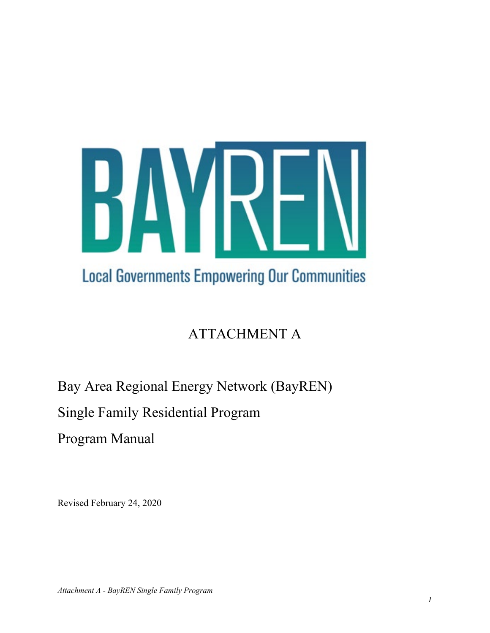

# ATTACHMENT A

Bay Area Regional Energy Network (BayREN)

Single Family Residential Program

Program Manual

Revised February 24, 2020

*Attachment A - BayREN Single Family Program*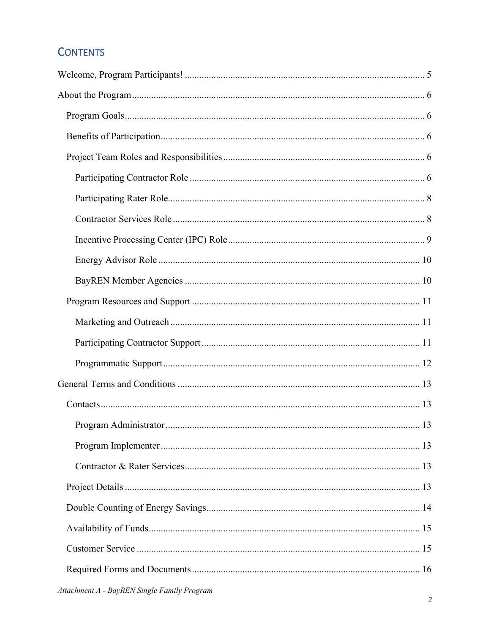## **CONTENTS**

| 13 |
|----|
|    |
|    |
|    |
|    |
|    |
|    |
|    |
|    |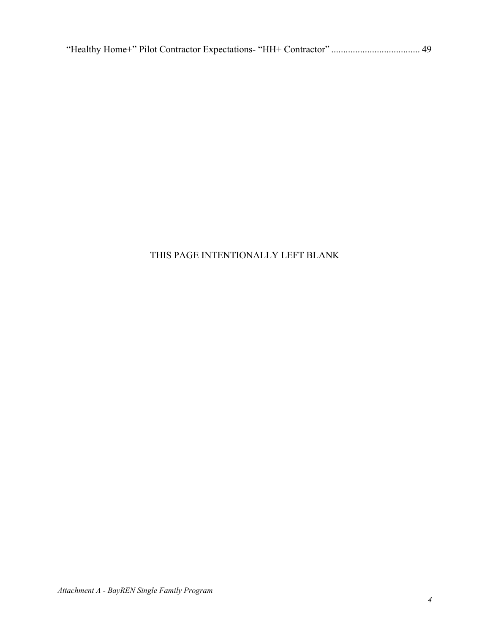|--|--|--|--|--|--|

### THIS PAGE INTENTIONALLY LEFT BLANK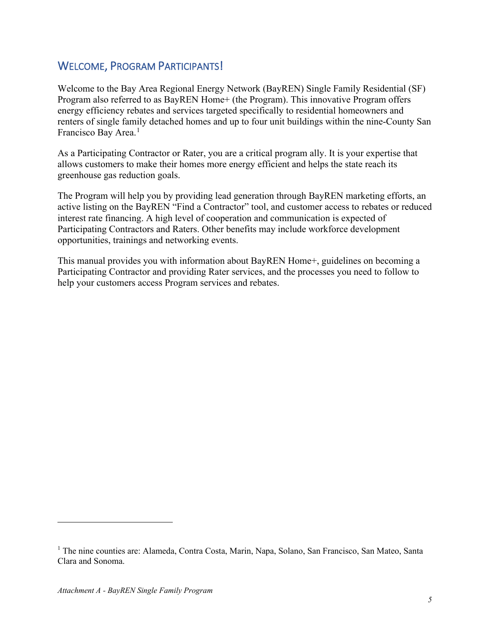## <span id="page-4-0"></span>WELCOME, PROGRAM PARTICIPANTS!

Welcome to the Bay Area Regional Energy Network (BayREN) Single Family Residential (SF) Program also referred to as BayREN Home+ (the Program). This innovative Program offers energy efficiency rebates and services targeted specifically to residential homeowners and renters of single family detached homes and up to four unit buildings within the nine-County San Francisco Bay Area.<sup>[1](#page-6-0)</sup>

As a Participating Contractor or Rater, you are a critical program ally. It is your expertise that allows customers to make their homes more energy efficient and helps the state reach its greenhouse gas reduction goals.

The Program will help you by providing lead generation through BayREN marketing efforts, an active listing on the BayREN "Find a Contractor" tool, and customer access to rebates or reduced interest rate financing. A high level of cooperation and communication is expected of Participating Contractors and Raters. Other benefits may include workforce development opportunities, trainings and networking events.

This manual provides you with information about BayREN Home+, guidelines on becoming a Participating Contractor and providing Rater services, and the processes you need to follow to help your customers access Program services and rebates.

<sup>&</sup>lt;sup>1</sup> The nine counties are: Alameda, Contra Costa, Marin, Napa, Solano, San Francisco, San Mateo, Santa Clara and Sonoma.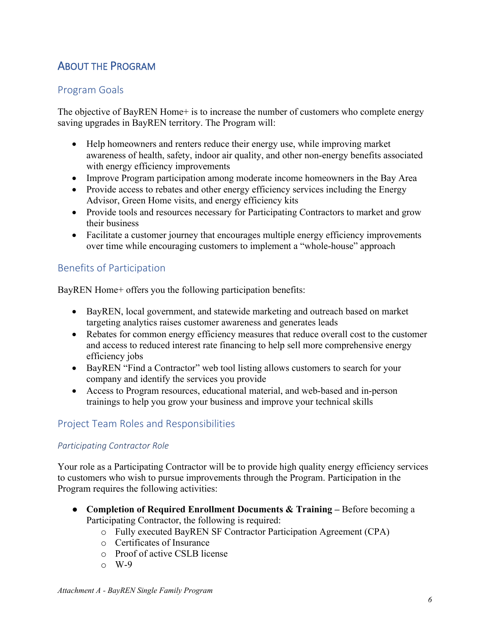## <span id="page-5-0"></span>ABOUT THE PROGRAM

### <span id="page-5-1"></span>Program Goals

The objective of BayREN Home+ is to increase the number of customers who complete energy saving upgrades in BayREN territory. The Program will:

- Help homeowners and renters reduce their energy use, while improving market awareness of health, safety, indoor air quality, and other non-energy benefits associated with energy efficiency improvements
- Improve Program participation among moderate income homeowners in the Bay Area
- Provide access to rebates and other energy efficiency services including the Energy Advisor, Green Home visits, and energy efficiency kits
- Provide tools and resources necessary for Participating Contractors to market and grow their business
- Facilitate a customer journey that encourages multiple energy efficiency improvements over time while encouraging customers to implement a "whole-house" approach

### <span id="page-5-2"></span>Benefits of Participation

BayREN Home+ offers you the following participation benefits:

- BayREN, local government, and statewide marketing and outreach based on market targeting analytics raises customer awareness and generates leads
- Rebates for common energy efficiency measures that reduce overall cost to the customer and access to reduced interest rate financing to help sell more comprehensive energy efficiency jobs
- BayREN "Find a Contractor" web tool listing allows customers to search for your company and identify the services you provide
- Access to Program resources, educational material, and web-based and in-person trainings to help you grow your business and improve your technical skills

### <span id="page-5-3"></span>Project Team Roles and Responsibilities

#### <span id="page-5-4"></span>*Participating Contractor Role*

Your role as a Participating Contractor will be to provide high quality energy efficiency services to customers who wish to pursue improvements through the Program. Participation in the Program requires the following activities:

- **Completion of Required Enrollment Documents & Training –** Before becoming a Participating Contractor, the following is required:
	- o Fully executed BayREN SF Contractor Participation Agreement (CPA)
	- o Certificates of Insurance
	- o Proof of active CSLB license
	- $\circ$  W-9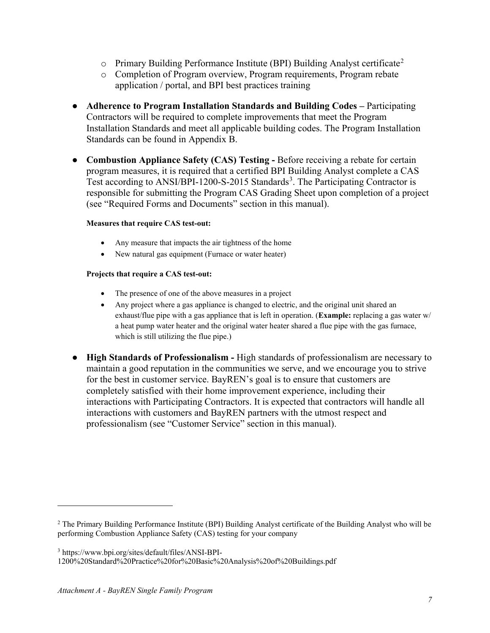- $\circ$  Primary Building Performance Institute (BPI) Building Analyst certificate<sup>[2](#page-8-1)</sup>
- o Completion of Program overview, Program requirements, Program rebate application / portal, and BPI best practices training
- **Adherence to Program Installation Standards and Building Codes –** Participating Contractors will be required to complete improvements that meet the Program Installation Standards and meet all applicable building codes. The Program Installation Standards can be found in Appendix B.
- **Combustion Appliance Safety (CAS) Testing -** Before receiving a rebate for certain program measures, it is required that a certified BPI Building Analyst complete a CAS Test according to ANSI/BPI-1200-S-2015 Standards<sup>[3](#page-8-2)</sup>. The Participating Contractor is responsible for submitting the Program CAS Grading Sheet upon completion of a project (see "Required Forms and Documents" section in this manual).

#### **Measures that require CAS test-out:**

- Any measure that impacts the air tightness of the home
- New natural gas equipment (Furnace or water heater)

#### **Projects that require a CAS test-out:**

- The presence of one of the above measures in a project
- Any project where a gas appliance is changed to electric, and the original unit shared an exhaust/flue pipe with a gas appliance that is left in operation. (**Example:** replacing a gas water w/ a heat pump water heater and the original water heater shared a flue pipe with the gas furnace, which is still utilizing the flue pipe.)
- **High Standards of Professionalism -** High standards of professionalism are necessary to maintain a good reputation in the communities we serve, and we encourage you to strive for the best in customer service. BayREN's goal is to ensure that customers are completely satisfied with their home improvement experience, including their interactions with Participating Contractors. It is expected that contractors will handle all interactions with customers and BayREN partners with the utmost respect and professionalism (see "Customer Service" section in this manual).

<sup>2</sup> The Primary Building Performance Institute (BPI) Building Analyst certificate of the Building Analyst who will be performing Combustion Appliance Safety (CAS) testing for your company

<span id="page-6-0"></span><sup>3</sup> https://www.bpi.org/sites/default/files/ANSI-BPI-

<sup>1200%20</sup>Standard%20Practice%20for%20Basic%20Analysis%20of%20Buildings.pdf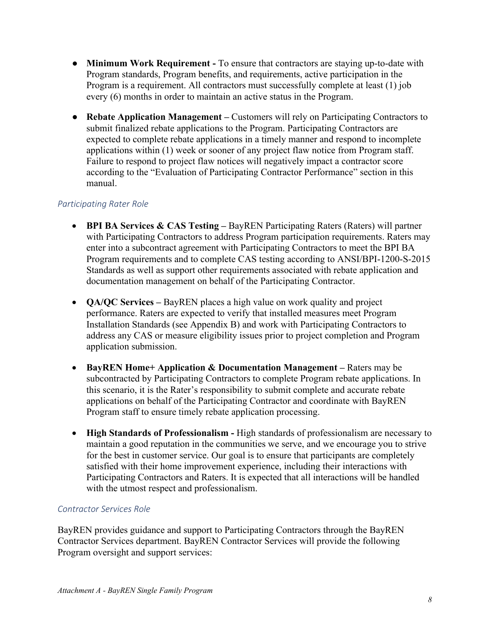- **Minimum Work Requirement -** To ensure that contractors are staying up-to-date with Program standards, Program benefits, and requirements, active participation in the Program is a requirement. All contractors must successfully complete at least (1) job every (6) months in order to maintain an active status in the Program.
- **Rebate Application Management –** Customers will rely on Participating Contractors to submit finalized rebate applications to the Program. Participating Contractors are expected to complete rebate applications in a timely manner and respond to incomplete applications within (1) week or sooner of any project flaw notice from Program staff. Failure to respond to project flaw notices will negatively impact a contractor score according to the "Evaluation of Participating Contractor Performance" section in this manual.

#### <span id="page-7-0"></span>*Participating Rater Role*

- **BPI BA Services & CAS Testing –** BayREN Participating Raters (Raters) will partner with Participating Contractors to address Program participation requirements. Raters may enter into a subcontract agreement with Participating Contractors to meet the BPI BA Program requirements and to complete CAS testing according to ANSI/BPI-1200-S-2015 Standards as well as support other requirements associated with rebate application and documentation management on behalf of the Participating Contractor.
- **QA/QC Services –** BayREN places a high value on work quality and project performance. Raters are expected to verify that installed measures meet Program Installation Standards (see Appendix B) and work with Participating Contractors to address any CAS or measure eligibility issues prior to project completion and Program application submission.
- **BayREN Home+ Application & Documentation Management –** Raters may be subcontracted by Participating Contractors to complete Program rebate applications. In this scenario, it is the Rater's responsibility to submit complete and accurate rebate applications on behalf of the Participating Contractor and coordinate with BayREN Program staff to ensure timely rebate application processing.
- **High Standards of Professionalism -** High standards of professionalism are necessary to maintain a good reputation in the communities we serve, and we encourage you to strive for the best in customer service. Our goal is to ensure that participants are completely satisfied with their home improvement experience, including their interactions with Participating Contractors and Raters. It is expected that all interactions will be handled with the utmost respect and professionalism.

#### <span id="page-7-1"></span>*Contractor Services Role*

BayREN provides guidance and support to Participating Contractors through the BayREN Contractor Services department. BayREN Contractor Services will provide the following Program oversight and support services: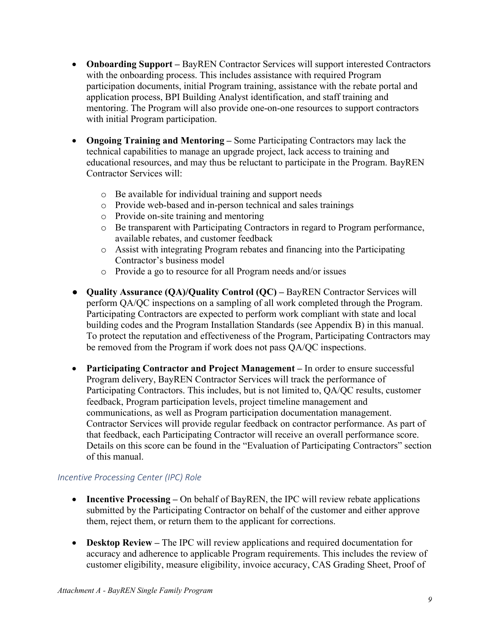- **Onboarding Support** BayREN Contractor Services will support interested Contractors with the onboarding process. This includes assistance with required Program participation documents, initial Program training, assistance with the rebate portal and application process, BPI Building Analyst identification, and staff training and mentoring. The Program will also provide one-on-one resources to support contractors with initial Program participation.
- **Ongoing Training and Mentoring –** Some Participating Contractors may lack the technical capabilities to manage an upgrade project, lack access to training and educational resources, and may thus be reluctant to participate in the Program. BayREN Contractor Services will:
	- o Be available for individual training and support needs
	- o Provide web-based and in-person technical and sales trainings
	- o Provide on-site training and mentoring
	- o Be transparent with Participating Contractors in regard to Program performance, available rebates, and customer feedback
	- o Assist with integrating Program rebates and financing into the Participating Contractor's business model
	- o Provide a go to resource for all Program needs and/or issues
- **Quality Assurance (QA)/Quality Control (QC) –** BayREN Contractor Services will perform QA/QC inspections on a sampling of all work completed through the Program. Participating Contractors are expected to perform work compliant with state and local building codes and the Program Installation Standards (see Appendix B) in this manual. To protect the reputation and effectiveness of the Program, Participating Contractors may be removed from the Program if work does not pass QA/QC inspections.
- **Participating Contractor and Project Management –** In order to ensure successful Program delivery, BayREN Contractor Services will track the performance of Participating Contractors. This includes, but is not limited to, QA/QC results, customer feedback, Program participation levels, project timeline management and communications, as well as Program participation documentation management. Contractor Services will provide regular feedback on contractor performance. As part of that feedback, each Participating Contractor will receive an overall performance score. Details on this score can be found in the "Evaluation of Participating Contractors" section of this manual.

### <span id="page-8-0"></span>*Incentive Processing Center (IPC) Role*

- **Incentive Processing** On behalf of BayREN, the IPC will review rebate applications submitted by the Participating Contractor on behalf of the customer and either approve them, reject them, or return them to the applicant for corrections.
- <span id="page-8-2"></span><span id="page-8-1"></span>• **Desktop Review –** The IPC will review applications and required documentation for accuracy and adherence to applicable Program requirements. This includes the review of customer eligibility, measure eligibility, invoice accuracy, CAS Grading Sheet, Proof of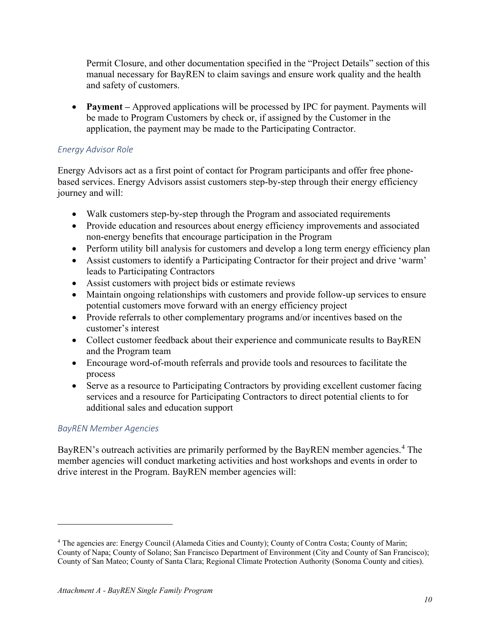Permit Closure, and other documentation specified in the "Project Details" section of this manual necessary for BayREN to claim savings and ensure work quality and the health and safety of customers.

• **Payment** – Approved applications will be processed by IPC for payment. Payments will be made to Program Customers by check or, if assigned by the Customer in the application, the payment may be made to the Participating Contractor.

#### <span id="page-9-0"></span>*Energy Advisor Role*

Energy Advisors act as a first point of contact for Program participants and offer free phonebased services. Energy Advisors assist customers step-by-step through their energy efficiency journey and will:

- Walk customers step-by-step through the Program and associated requirements
- Provide education and resources about energy efficiency improvements and associated non-energy benefits that encourage participation in the Program
- Perform utility bill analysis for customers and develop a long term energy efficiency plan
- Assist customers to identify a Participating Contractor for their project and drive 'warm' leads to Participating Contractors
- Assist customers with project bids or estimate reviews
- Maintain ongoing relationships with customers and provide follow-up services to ensure potential customers move forward with an energy efficiency project
- Provide referrals to other complementary programs and/or incentives based on the customer's interest
- Collect customer feedback about their experience and communicate results to BayREN and the Program team
- Encourage word-of-mouth referrals and provide tools and resources to facilitate the process
- Serve as a resource to Participating Contractors by providing excellent customer facing services and a resource for Participating Contractors to direct potential clients to for additional sales and education support

#### <span id="page-9-1"></span>*BayREN Member Agencies*

BayREN's outreach activities are primarily performed by the BayREN member agencies.<sup>[4](#page-11-1)</sup> The member agencies will conduct marketing activities and host workshops and events in order to drive interest in the Program. BayREN member agencies will:

<sup>4</sup> The agencies are: Energy Council (Alameda Cities and County); County of Contra Costa; County of Marin; County of Napa; County of Solano; San Francisco Department of Environment (City and County of San Francisco); County of San Mateo; County of Santa Clara; Regional Climate Protection Authority (Sonoma County and cities).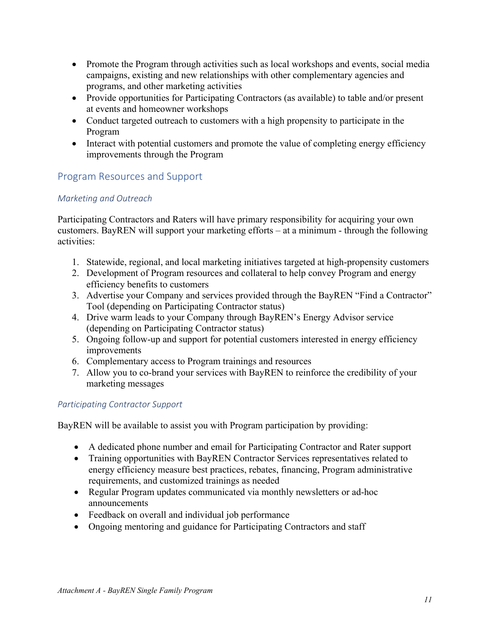- Promote the Program through activities such as local workshops and events, social media campaigns, existing and new relationships with other complementary agencies and programs, and other marketing activities
- Provide opportunities for Participating Contractors (as available) to table and/or present at events and homeowner workshops
- Conduct targeted outreach to customers with a high propensity to participate in the Program
- Interact with potential customers and promote the value of completing energy efficiency improvements through the Program

### <span id="page-10-0"></span>Program Resources and Support

### <span id="page-10-1"></span>*Marketing and Outreach*

Participating Contractors and Raters will have primary responsibility for acquiring your own customers. BayREN will support your marketing efforts – at a minimum - through the following activities:

- 1. Statewide, regional, and local marketing initiatives targeted at high-propensity customers
- 2. Development of Program resources and collateral to help convey Program and energy efficiency benefits to customers
- 3. Advertise your Company and services provided through the BayREN "Find a Contractor" Tool (depending on Participating Contractor status)
- 4. Drive warm leads to your Company through BayREN's Energy Advisor service (depending on Participating Contractor status)
- 5. Ongoing follow-up and support for potential customers interested in energy efficiency improvements
- 6. Complementary access to Program trainings and resources
- 7. Allow you to co-brand your services with BayREN to reinforce the credibility of your marketing messages

### <span id="page-10-2"></span>*Participating Contractor Support*

BayREN will be available to assist you with Program participation by providing:

- A dedicated phone number and email for Participating Contractor and Rater support
- Training opportunities with BayREN Contractor Services representatives related to energy efficiency measure best practices, rebates, financing, Program administrative requirements, and customized trainings as needed
- Regular Program updates communicated via monthly newsletters or ad-hoc announcements
- Feedback on overall and individual job performance
- Ongoing mentoring and guidance for Participating Contractors and staff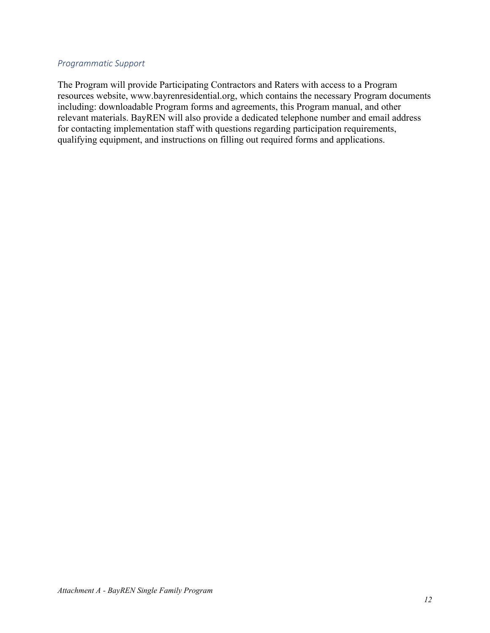#### <span id="page-11-0"></span>*Programmatic Support*

<span id="page-11-1"></span>The Program will provide Participating Contractors and Raters with access to a Program resources website, www.bayrenresidential.org, which contains the necessary Program documents including: downloadable Program forms and agreements, this Program manual, and other relevant materials. BayREN will also provide a dedicated telephone number and email address for contacting implementation staff with questions regarding participation requirements, qualifying equipment, and instructions on filling out required forms and applications.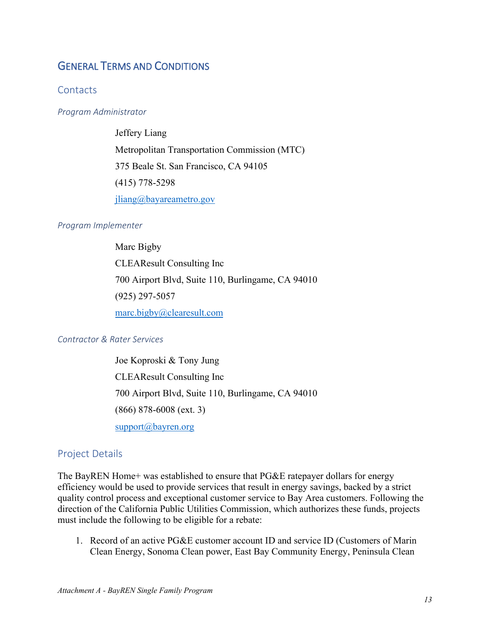### <span id="page-12-0"></span>GENERAL TERMS AND CONDITIONS

#### <span id="page-12-1"></span>**Contacts**

#### <span id="page-12-2"></span>*Program Administrator*

Jeffery Liang Metropolitan Transportation Commission (MTC) 375 Beale St. San Francisco, CA 94105 (415) 778-5298 [jliang@bayareametro.gov](mailto:jliang@bayareametro.gov)

#### <span id="page-12-3"></span>*Program Implementer*

Marc Bigby CLEAResult Consulting Inc 700 Airport Blvd, Suite 110, Burlingame, CA 94010 (925) 297-5057 [marc.bigby@clearesult.com](mailto:marc.bigby@clearesult.com)

#### <span id="page-12-4"></span>*Contractor & Rater Services*

Joe Koproski & Tony Jung CLEAResult Consulting Inc 700 Airport Blvd, Suite 110, Burlingame, CA 94010 (866) 878-6008 (ext. 3) [support@bayren.org](mailto:support@bayren.org)

#### <span id="page-12-5"></span>Project Details

The BayREN Home+ was established to ensure that PG&E ratepayer dollars for energy efficiency would be used to provide services that result in energy savings, backed by a strict quality control process and exceptional customer service to Bay Area customers. Following the direction of the California Public Utilities Commission, which authorizes these funds, projects must include the following to be eligible for a rebate:

1. Record of an active PG&E customer account ID and service ID (Customers of Marin Clean Energy, Sonoma Clean power, East Bay Community Energy, Peninsula Clean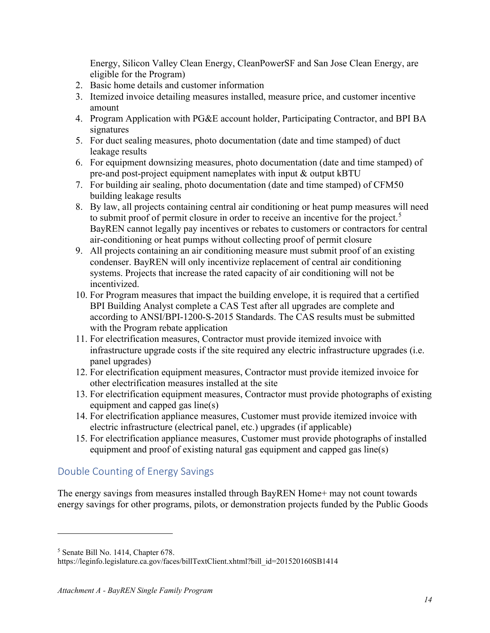Energy, Silicon Valley Clean Energy, CleanPowerSF and San Jose Clean Energy, are eligible for the Program)

- 2. Basic home details and customer information
- 3. Itemized invoice detailing measures installed, measure price, and customer incentive amount
- 4. Program Application with PG&E account holder, Participating Contractor, and BPI BA signatures
- 5. For duct sealing measures, photo documentation (date and time stamped) of duct leakage results
- 6. For equipment downsizing measures, photo documentation (date and time stamped) of pre-and post-project equipment nameplates with input & output kBTU
- 7. For building air sealing, photo documentation (date and time stamped) of CFM50 building leakage results
- 8. By law, all projects containing central air conditioning or heat pump measures will need to submit proof of permit closure in order to receive an incentive for the project.<sup>[5](#page-15-1)</sup> BayREN cannot legally pay incentives or rebates to customers or contractors for central air-conditioning or heat pumps without collecting proof of permit closure
- 9. All projects containing an air conditioning measure must submit proof of an existing condenser. BayREN will only incentivize replacement of central air conditioning systems. Projects that increase the rated capacity of air conditioning will not be incentivized.
- 10. For Program measures that impact the building envelope, it is required that a certified BPI Building Analyst complete a CAS Test after all upgrades are complete and according to ANSI/BPI-1200-S-2015 Standards. The CAS results must be submitted with the Program rebate application
- 11. For electrification measures, Contractor must provide itemized invoice with infrastructure upgrade costs if the site required any electric infrastructure upgrades (i.e. panel upgrades)
- 12. For electrification equipment measures, Contractor must provide itemized invoice for other electrification measures installed at the site
- 13. For electrification equipment measures, Contractor must provide photographs of existing equipment and capped gas line(s)
- 14. For electrification appliance measures, Customer must provide itemized invoice with electric infrastructure (electrical panel, etc.) upgrades (if applicable)
- 15. For electrification appliance measures, Customer must provide photographs of installed equipment and proof of existing natural gas equipment and capped gas line(s)

### <span id="page-13-0"></span>Double Counting of Energy Savings

The energy savings from measures installed through BayREN Home+ may not count towards energy savings for other programs, pilots, or demonstration projects funded by the Public Goods

<sup>5</sup> Senate Bill No. 1414, Chapter 678.

https://leginfo.legislature.ca.gov/faces/billTextClient.xhtml?bill\_id=201520160SB1414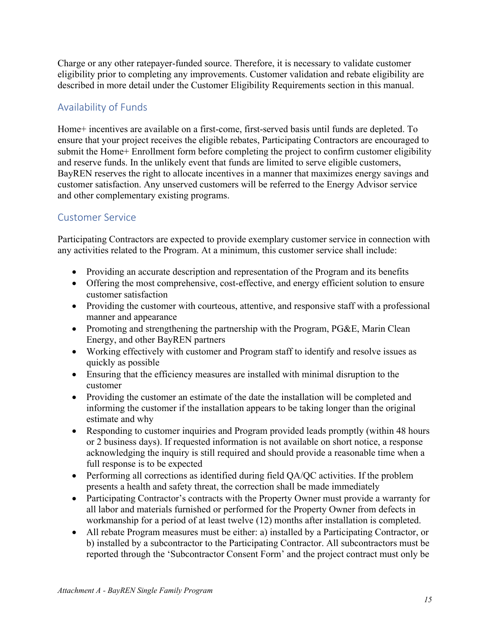Charge or any other ratepayer-funded source. Therefore, it is necessary to validate customer eligibility prior to completing any improvements. Customer validation and rebate eligibility are described in more detail under the Customer Eligibility Requirements section in this manual.

### <span id="page-14-0"></span>Availability of Funds

Home+ incentives are available on a first-come, first-served basis until funds are depleted. To ensure that your project receives the eligible rebates, Participating Contractors are encouraged to submit the Home+ Enrollment form before completing the project to confirm customer eligibility and reserve funds. In the unlikely event that funds are limited to serve eligible customers, BayREN reserves the right to allocate incentives in a manner that maximizes energy savings and customer satisfaction. Any unserved customers will be referred to the Energy Advisor service and other complementary existing programs.

### <span id="page-14-1"></span>Customer Service

Participating Contractors are expected to provide exemplary customer service in connection with any activities related to the Program. At a minimum, this customer service shall include:

- Providing an accurate description and representation of the Program and its benefits
- Offering the most comprehensive, cost-effective, and energy efficient solution to ensure customer satisfaction
- Providing the customer with courteous, attentive, and responsive staff with a professional manner and appearance
- Promoting and strengthening the partnership with the Program, PG&E, Marin Clean Energy, and other BayREN partners
- Working effectively with customer and Program staff to identify and resolve issues as quickly as possible
- Ensuring that the efficiency measures are installed with minimal disruption to the customer
- Providing the customer an estimate of the date the installation will be completed and informing the customer if the installation appears to be taking longer than the original estimate and why
- Responding to customer inquiries and Program provided leads promptly (within 48 hours or 2 business days). If requested information is not available on short notice, a response acknowledging the inquiry is still required and should provide a reasonable time when a full response is to be expected
- Performing all corrections as identified during field QA/QC activities. If the problem presents a health and safety threat, the correction shall be made immediately
- Participating Contractor's contracts with the Property Owner must provide a warranty for all labor and materials furnished or performed for the Property Owner from defects in workmanship for a period of at least twelve (12) months after installation is completed.
- All rebate Program measures must be either: a) installed by a Participating Contractor, or b) installed by a subcontractor to the Participating Contractor. All subcontractors must be reported through the 'Subcontractor Consent Form' and the project contract must only be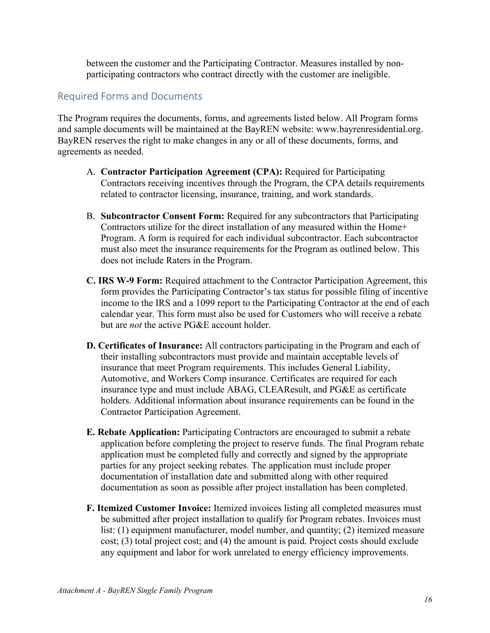between the customer and the Participating Contractor. Measures installed by nonparticipating contractors who contract directly with the customer are ineligible.

### <span id="page-15-0"></span>Required Forms and Documents

The Program requires the documents, forms, and agreements listed below. All Program forms and sample documents will be maintained at the BayREN website: www.bayrenresidential.org. BayREN reserves the right to make changes in any or all of these documents, forms, and agreements as needed.

- A. **Contractor Participation Agreement (CPA):** Required for Participating Contractors receiving incentives through the Program, the CPA details requirements related to contractor licensing, insurance, training, and work standards.
- B. **Subcontractor Consent Form:** Required for any subcontractors that Participating Contractors utilize for the direct installation of any measured within the Home+ Program. A form is required for each individual subcontractor. Each subcontractor must also meet the insurance requirements for the Program as outlined below. This does not include Raters in the Program.
- **C. IRS W-9 Form:** Required attachment to the Contractor Participation Agreement, this form provides the Participating Contractor's tax status for possible filing of incentive income to the IRS and a 1099 report to the Participating Contractor at the end of each calendar year. This form must also be used for Customers who will receive a rebate but are *not* the active PG&E account holder.
- **D. Certificates of Insurance:** All contractors participating in the Program and each of their installing subcontractors must provide and maintain acceptable levels of insurance that meet Program requirements. This includes General Liability, Automotive, and Workers Comp insurance. Certificates are required for each insurance type and must include ABAG, CLEAResult, and PG&E as certificate holders. Additional information about insurance requirements can be found in the Contractor Participation Agreement.
- **E. Rebate Application:** Participating Contractors are encouraged to submit a rebate application before completing the project to reserve funds. The final Program rebate application must be completed fully and correctly and signed by the appropriate parties for any project seeking rebates. The application must include proper documentation of installation date and submitted along with other required documentation as soon as possible after project installation has been completed.
- <span id="page-15-1"></span>**F. Itemized Customer Invoice:** Itemized invoices listing all completed measures must be submitted after project installation to qualify for Program rebates. Invoices must list: (1) equipment manufacturer, model number, and quantity; (2) itemized measure cost; (3) total project cost; and (4) the amount is paid. Project costs should exclude any equipment and labor for work unrelated to energy efficiency improvements.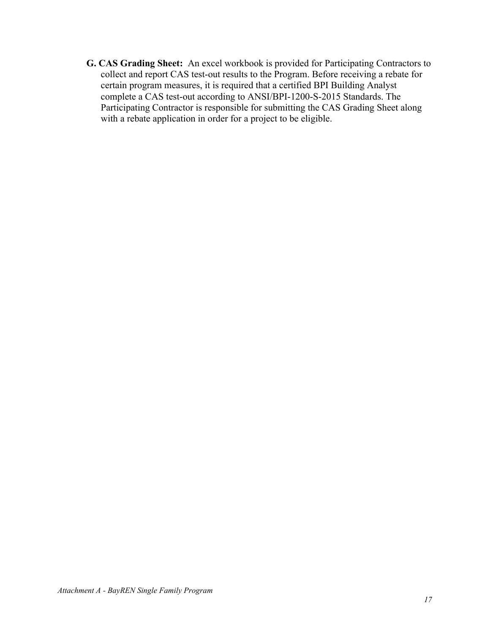**G. CAS Grading Sheet:** An excel workbook is provided for Participating Contractors to collect and report CAS test-out results to the Program. Before receiving a rebate for certain program measures, it is required that a certified BPI Building Analyst complete a CAS test-out according to ANSI/BPI-1200-S-2015 Standards. The Participating Contractor is responsible for submitting the CAS Grading Sheet along with a rebate application in order for a project to be eligible.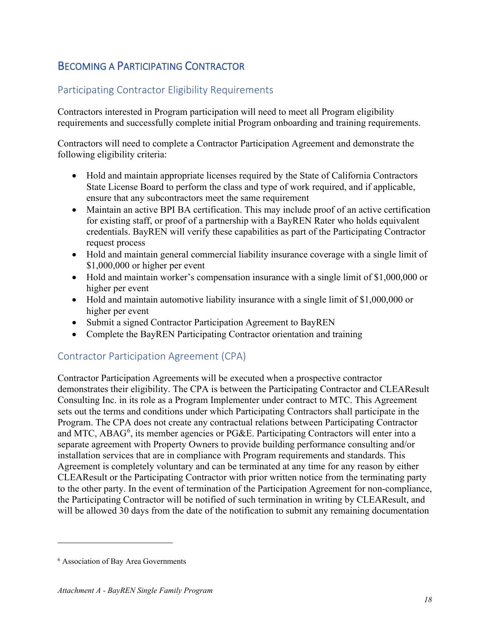## <span id="page-17-0"></span>BECOMING A PARTICIPATING CONTRACTOR

### <span id="page-17-1"></span>Participating Contractor Eligibility Requirements

Contractors interested in Program participation will need to meet all Program eligibility requirements and successfully complete initial Program onboarding and training requirements.

Contractors will need to complete a Contractor Participation Agreement and demonstrate the following eligibility criteria:

- Hold and maintain appropriate licenses required by the State of California Contractors State License Board to perform the class and type of work required, and if applicable, ensure that any subcontractors meet the same requirement
- Maintain an active BPI BA certification. This may include proof of an active certification for existing staff, or proof of a partnership with a BayREN Rater who holds equivalent credentials. BayREN will verify these capabilities as part of the Participating Contractor request process
- Hold and maintain general commercial liability insurance coverage with a single limit of \$1,000,000 or higher per event
- Hold and maintain worker's compensation insurance with a single limit of \$1,000,000 or higher per event
- Hold and maintain automotive liability insurance with a single limit of \$1,000,000 or higher per event
- Submit a signed Contractor Participation Agreement to BayREN
- Complete the BayREN Participating Contractor orientation and training

#### <span id="page-17-2"></span>Contractor Participation Agreement (CPA)

Contractor Participation Agreements will be executed when a prospective contractor demonstrates their eligibility. The CPA is between the Participating Contractor and CLEAResult Consulting Inc. in its role as a Program Implementer under contract to MTC. This Agreement sets out the terms and conditions under which Participating Contractors shall participate in the Program. The CPA does not create any contractual relations between Participating Contractor and MTC, ABAG<sup>[6](#page-19-0)</sup>, its member agencies or PG&E. Participating Contractors will enter into a separate agreement with Property Owners to provide building performance consulting and/or installation services that are in compliance with Program requirements and standards. This Agreement is completely voluntary and can be terminated at any time for any reason by either CLEAResult or the Participating Contractor with prior written notice from the terminating party to the other party. In the event of termination of the Participation Agreement for non-compliance, the Participating Contractor will be notified of such termination in writing by CLEAResult, and will be allowed 30 days from the date of the notification to submit any remaining documentation

<sup>6</sup> Association of Bay Area Governments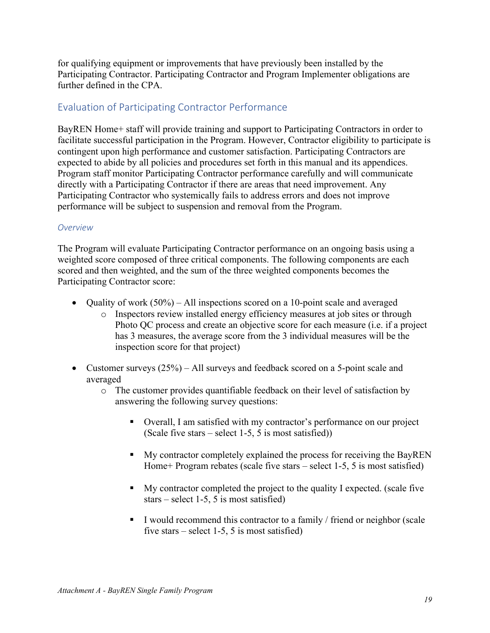for qualifying equipment or improvements that have previously been installed by the Participating Contractor. Participating Contractor and Program Implementer obligations are further defined in the CPA.

### <span id="page-18-0"></span>Evaluation of Participating Contractor Performance

BayREN Home+ staff will provide training and support to Participating Contractors in order to facilitate successful participation in the Program. However, Contractor eligibility to participate is contingent upon high performance and customer satisfaction. Participating Contractors are expected to abide by all policies and procedures set forth in this manual and its appendices. Program staff monitor Participating Contractor performance carefully and will communicate directly with a Participating Contractor if there are areas that need improvement. Any Participating Contractor who systemically fails to address errors and does not improve performance will be subject to suspension and removal from the Program.

#### *Overview*

The Program will evaluate Participating Contractor performance on an ongoing basis using a weighted score composed of three critical components. The following components are each scored and then weighted, and the sum of the three weighted components becomes the Participating Contractor score:

- Quality of work  $(50\%)$  All inspections scored on a 10-point scale and averaged
	- o Inspectors review installed energy efficiency measures at job sites or through Photo QC process and create an objective score for each measure (i.e. if a project has 3 measures, the average score from the 3 individual measures will be the inspection score for that project)
- Customer surveys (25%) All surveys and feedback scored on a 5-point scale and averaged
	- o The customer provides quantifiable feedback on their level of satisfaction by answering the following survey questions:
		- Overall, I am satisfied with my contractor's performance on our project (Scale five stars – select 1-5, 5 is most satisfied))
		- My contractor completely explained the process for receiving the BayREN Home+ Program rebates (scale five stars – select 1-5, 5 is most satisfied)
		- My contractor completed the project to the quality I expected. (scale five stars – select 1-5, 5 is most satisfied)
		- I would recommend this contractor to a family  $/$  friend or neighbor (scale five stars – select 1-5, 5 is most satisfied)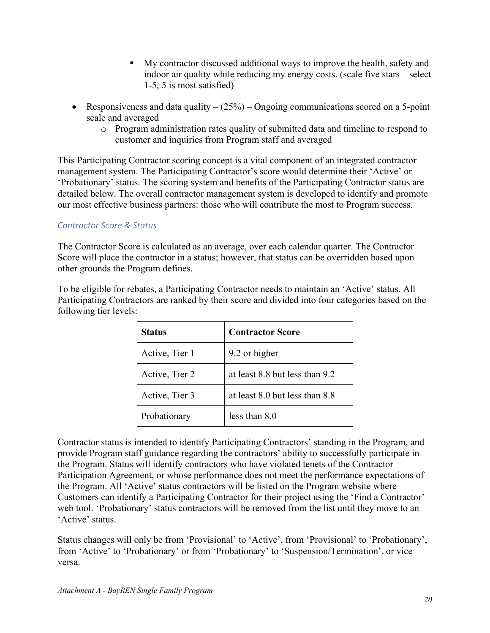- My contractor discussed additional ways to improve the health, safety and indoor air quality while reducing my energy costs. (scale five stars – select 1-5, 5 is most satisfied)
- Responsiveness and data quality  $-(25%)$  Ongoing communications scored on a 5-point scale and averaged
	- o Program administration rates quality of submitted data and timeline to respond to customer and inquiries from Program staff and averaged

This Participating Contractor scoring concept is a vital component of an integrated contractor management system. The Participating Contractor's score would determine their 'Active' or 'Probationary' status. The scoring system and benefits of the Participating Contractor status are detailed below. The overall contractor management system is developed to identify and promote our most effective business partners: those who will contribute the most to Program success.

#### *Contractor Score & Status*

The Contractor Score is calculated as an average, over each calendar quarter. The Contractor Score will place the contractor in a status; however, that status can be overridden based upon other grounds the Program defines.

To be eligible for rebates, a Participating Contractor needs to maintain an 'Active' status. All Participating Contractors are ranked by their score and divided into four categories based on the following tier levels:

| <b>Status</b>  | <b>Contractor Score</b>        |
|----------------|--------------------------------|
| Active, Tier 1 | 9.2 or higher                  |
| Active, Tier 2 | at least 8.8 but less than 9.2 |
| Active, Tier 3 | at least 8.0 but less than 8.8 |
| Probationary   | less than 8.0                  |

Contractor status is intended to identify Participating Contractors' standing in the Program, and provide Program staff guidance regarding the contractors' ability to successfully participate in the Program. Status will identify contractors who have violated tenets of the Contractor Participation Agreement, or whose performance does not meet the performance expectations of the Program. All 'Active' status contractors will be listed on the Program website where Customers can identify a Participating Contractor for their project using the 'Find a Contractor' web tool. 'Probationary' status contractors will be removed from the list until they move to an 'Active' status.

<span id="page-19-0"></span>Status changes will only be from 'Provisional' to 'Active', from 'Provisional' to 'Probationary', from 'Active' to 'Probationary' or from 'Probationary' to 'Suspension/Termination', or vice versa.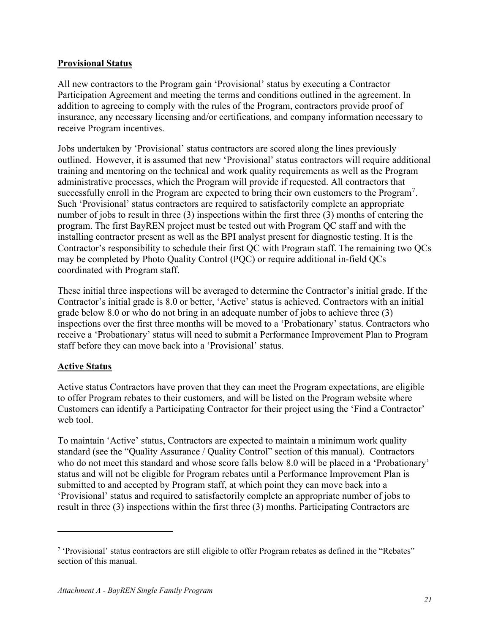#### **Provisional Status**

All new contractors to the Program gain 'Provisional' status by executing a Contractor Participation Agreement and meeting the terms and conditions outlined in the agreement. In addition to agreeing to comply with the rules of the Program, contractors provide proof of insurance, any necessary licensing and/or certifications, and company information necessary to receive Program incentives.

Jobs undertaken by 'Provisional' status contractors are scored along the lines previously outlined. However, it is assumed that new 'Provisional' status contractors will require additional training and mentoring on the technical and work quality requirements as well as the Program administrative processes, which the Program will provide if requested. All contractors that successfully enroll in the Program are expected to bring their own customers to the Program<sup>[7](#page-22-0)</sup>. Such 'Provisional' status contractors are required to satisfactorily complete an appropriate number of jobs to result in three (3) inspections within the first three (3) months of entering the program. The first BayREN project must be tested out with Program QC staff and with the installing contractor present as well as the BPI analyst present for diagnostic testing. It is the Contractor's responsibility to schedule their first QC with Program staff. The remaining two QCs may be completed by Photo Quality Control (PQC) or require additional in-field QCs coordinated with Program staff.

These initial three inspections will be averaged to determine the Contractor's initial grade. If the Contractor's initial grade is 8.0 or better, 'Active' status is achieved. Contractors with an initial grade below 8.0 or who do not bring in an adequate number of jobs to achieve three (3) inspections over the first three months will be moved to a 'Probationary' status. Contractors who receive a 'Probationary' status will need to submit a Performance Improvement Plan to Program staff before they can move back into a 'Provisional' status.

#### **Active Status**

Active status Contractors have proven that they can meet the Program expectations, are eligible to offer Program rebates to their customers, and will be listed on the Program website where Customers can identify a Participating Contractor for their project using the 'Find a Contractor' web tool.

To maintain 'Active' status, Contractors are expected to maintain a minimum work quality standard (see the "Quality Assurance / Quality Control" section of this manual). Contractors who do not meet this standard and whose score falls below 8.0 will be placed in a 'Probationary' status and will not be eligible for Program rebates until a Performance Improvement Plan is submitted to and accepted by Program staff, at which point they can move back into a 'Provisional' status and required to satisfactorily complete an appropriate number of jobs to result in three (3) inspections within the first three (3) months. Participating Contractors are

<sup>7</sup> 'Provisional' status contractors are still eligible to offer Program rebates as defined in the "Rebates" section of this manual.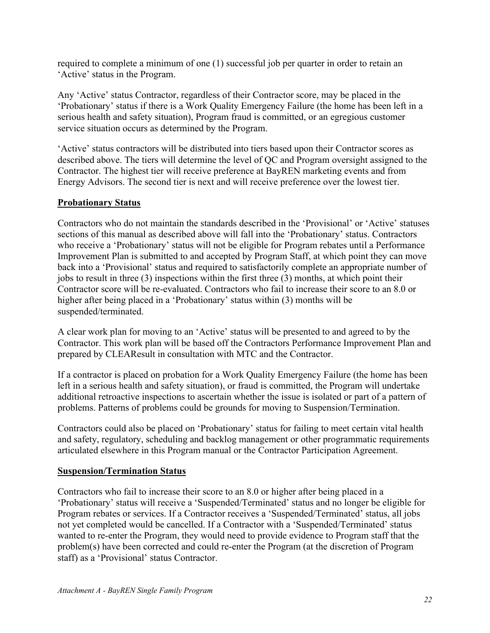required to complete a minimum of one (1) successful job per quarter in order to retain an 'Active' status in the Program.

Any 'Active' status Contractor, regardless of their Contractor score, may be placed in the 'Probationary' status if there is a Work Quality Emergency Failure (the home has been left in a serious health and safety situation), Program fraud is committed, or an egregious customer service situation occurs as determined by the Program.

'Active' status contractors will be distributed into tiers based upon their Contractor scores as described above. The tiers will determine the level of QC and Program oversight assigned to the Contractor. The highest tier will receive preference at BayREN marketing events and from Energy Advisors. The second tier is next and will receive preference over the lowest tier.

#### **Probationary Status**

Contractors who do not maintain the standards described in the 'Provisional' or 'Active' statuses sections of this manual as described above will fall into the 'Probationary' status. Contractors who receive a 'Probationary' status will not be eligible for Program rebates until a Performance Improvement Plan is submitted to and accepted by Program Staff, at which point they can move back into a 'Provisional' status and required to satisfactorily complete an appropriate number of jobs to result in three (3) inspections within the first three (3) months, at which point their Contractor score will be re-evaluated. Contractors who fail to increase their score to an 8.0 or higher after being placed in a 'Probationary' status within (3) months will be suspended/terminated.

A clear work plan for moving to an 'Active' status will be presented to and agreed to by the Contractor. This work plan will be based off the Contractors Performance Improvement Plan and prepared by CLEAResult in consultation with MTC and the Contractor.

If a contractor is placed on probation for a Work Quality Emergency Failure (the home has been left in a serious health and safety situation), or fraud is committed, the Program will undertake additional retroactive inspections to ascertain whether the issue is isolated or part of a pattern of problems. Patterns of problems could be grounds for moving to Suspension/Termination.

Contractors could also be placed on 'Probationary' status for failing to meet certain vital health and safety, regulatory, scheduling and backlog management or other programmatic requirements articulated elsewhere in this Program manual or the Contractor Participation Agreement.

#### **Suspension/Termination Status**

Contractors who fail to increase their score to an 8.0 or higher after being placed in a 'Probationary' status will receive a 'Suspended/Terminated' status and no longer be eligible for Program rebates or services. If a Contractor receives a 'Suspended/Terminated' status, all jobs not yet completed would be cancelled. If a Contractor with a 'Suspended/Terminated' status wanted to re-enter the Program, they would need to provide evidence to Program staff that the problem(s) have been corrected and could re-enter the Program (at the discretion of Program staff) as a 'Provisional' status Contractor.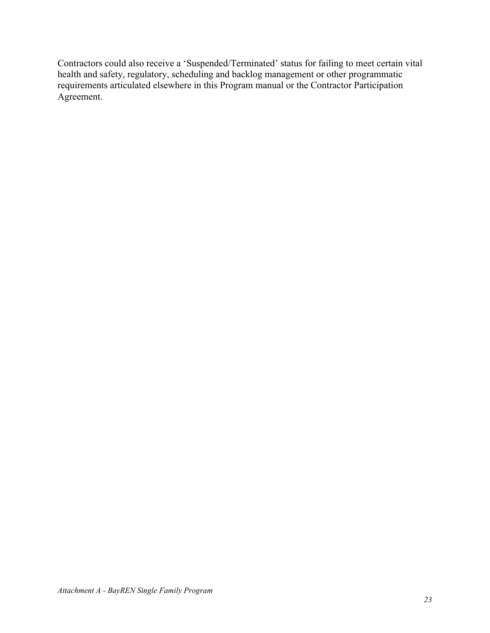<span id="page-22-0"></span>Contractors could also receive a 'Suspended/Terminated' status for failing to meet certain vital health and safety, regulatory, scheduling and backlog management or other programmatic requirements articulated elsewhere in this Program manual or the Contractor Participation Agreement.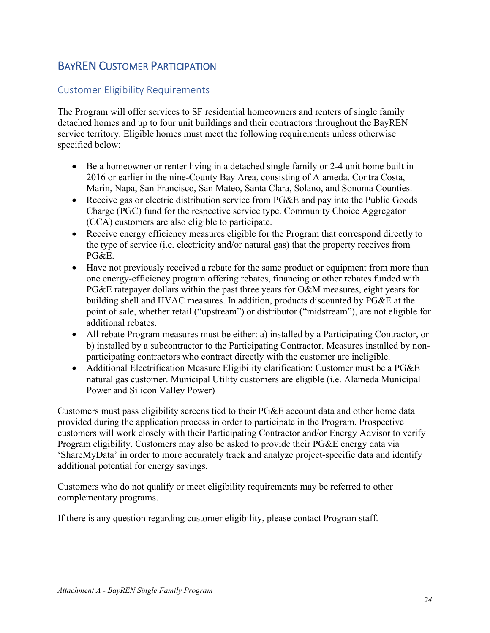## <span id="page-23-0"></span>BAYREN CUSTOMER PARTICIPATION

### <span id="page-23-1"></span>Customer Eligibility Requirements

The Program will offer services to SF residential homeowners and renters of single family detached homes and up to four unit buildings and their contractors throughout the BayREN service territory. Eligible homes must meet the following requirements unless otherwise specified below:

- Be a homeowner or renter living in a detached single family or 2-4 unit home built in 2016 or earlier in the nine-County Bay Area, consisting of Alameda, Contra Costa, Marin, Napa, San Francisco, San Mateo, Santa Clara, Solano, and Sonoma Counties.
- Receive gas or electric distribution service from PG&E and pay into the Public Goods Charge (PGC) fund for the respective service type. Community Choice Aggregator (CCA) customers are also eligible to participate.
- Receive energy efficiency measures eligible for the Program that correspond directly to the type of service (i.e. electricity and/or natural gas) that the property receives from PG&E.
- Have not previously received a rebate for the same product or equipment from more than one energy-efficiency program offering rebates, financing or other rebates funded with PG&E ratepayer dollars within the past three years for O&M measures, eight years for building shell and HVAC measures. In addition, products discounted by PG&E at the point of sale, whether retail ("upstream") or distributor ("midstream"), are not eligible for additional rebates.
- All rebate Program measures must be either: a) installed by a Participating Contractor, or b) installed by a subcontractor to the Participating Contractor. Measures installed by nonparticipating contractors who contract directly with the customer are ineligible.
- Additional Electrification Measure Eligibility clarification: Customer must be a PG&E natural gas customer. Municipal Utility customers are eligible (i.e. Alameda Municipal Power and Silicon Valley Power)

Customers must pass eligibility screens tied to their PG&E account data and other home data provided during the application process in order to participate in the Program. Prospective customers will work closely with their Participating Contractor and/or Energy Advisor to verify Program eligibility. Customers may also be asked to provide their PG&E energy data via 'ShareMyData' in order to more accurately track and analyze project-specific data and identify additional potential for energy savings.

Customers who do not qualify or meet eligibility requirements may be referred to other complementary programs.

If there is any question regarding customer eligibility, please contact Program staff.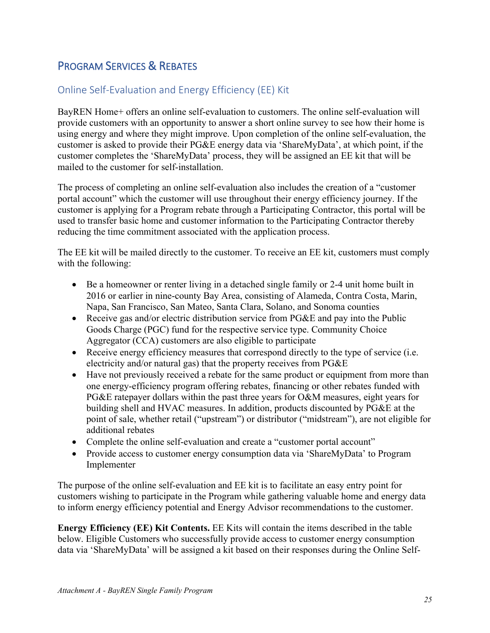## <span id="page-24-0"></span>PROGRAM SERVICES & REBATES

### <span id="page-24-1"></span>Online Self-Evaluation and Energy Efficiency (EE) Kit

BayREN Home+ offers an online self-evaluation to customers. The online self-evaluation will provide customers with an opportunity to answer a short online survey to see how their home is using energy and where they might improve. Upon completion of the online self-evaluation, the customer is asked to provide their PG&E energy data via 'ShareMyData', at which point, if the customer completes the 'ShareMyData' process, they will be assigned an EE kit that will be mailed to the customer for self-installation.

The process of completing an online self-evaluation also includes the creation of a "customer portal account" which the customer will use throughout their energy efficiency journey. If the customer is applying for a Program rebate through a Participating Contractor, this portal will be used to transfer basic home and customer information to the Participating Contractor thereby reducing the time commitment associated with the application process.

The EE kit will be mailed directly to the customer. To receive an EE kit, customers must comply with the following:

- Be a homeowner or renter living in a detached single family or 2-4 unit home built in 2016 or earlier in nine-county Bay Area, consisting of Alameda, Contra Costa, Marin, Napa, San Francisco, San Mateo, Santa Clara, Solano, and Sonoma counties
- Receive gas and/or electric distribution service from PG&E and pay into the Public Goods Charge (PGC) fund for the respective service type. Community Choice Aggregator (CCA) customers are also eligible to participate
- Receive energy efficiency measures that correspond directly to the type of service (i.e. electricity and/or natural gas) that the property receives from PG&E
- Have not previously received a rebate for the same product or equipment from more than one energy-efficiency program offering rebates, financing or other rebates funded with PG&E ratepayer dollars within the past three years for O&M measures, eight years for building shell and HVAC measures. In addition, products discounted by PG&E at the point of sale, whether retail ("upstream") or distributor ("midstream"), are not eligible for additional rebates
- Complete the online self-evaluation and create a "customer portal account"
- Provide access to customer energy consumption data via 'ShareMyData' to Program Implementer

The purpose of the online self-evaluation and EE kit is to facilitate an easy entry point for customers wishing to participate in the Program while gathering valuable home and energy data to inform energy efficiency potential and Energy Advisor recommendations to the customer.

**Energy Efficiency (EE) Kit Contents.** EE Kits will contain the items described in the table below. Eligible Customers who successfully provide access to customer energy consumption data via 'ShareMyData' will be assigned a kit based on their responses during the Online Self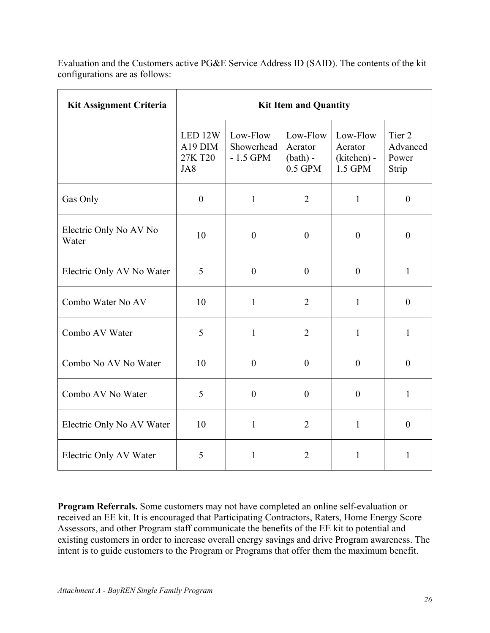Evaluation and the Customers active PG&E Service Address ID (SAID). The contents of the kit configurations are as follows:

| <b>Kit Assignment Criteria</b>  | <b>Kit Item and Quantity</b>         |                                      |                                                |                                               |                                      |
|---------------------------------|--------------------------------------|--------------------------------------|------------------------------------------------|-----------------------------------------------|--------------------------------------|
|                                 | LED 12W<br>A19 DIM<br>27K T20<br>JA8 | Low-Flow<br>Showerhead<br>$-1.5$ GPM | Low-Flow<br>Aerator<br>$(bath) -$<br>$0.5$ GPM | Low-Flow<br>Aerator<br>(kitchen) -<br>1.5 GPM | Tier 2<br>Advanced<br>Power<br>Strip |
| Gas Only                        | $\boldsymbol{0}$                     | $\mathbf{1}$                         | $\overline{2}$                                 | $\mathbf{1}$                                  | $\theta$                             |
| Electric Only No AV No<br>Water | 10                                   | $\boldsymbol{0}$                     | $\boldsymbol{0}$                               | $\boldsymbol{0}$                              | $\boldsymbol{0}$                     |
| Electric Only AV No Water       | 5                                    | $\boldsymbol{0}$                     | $\boldsymbol{0}$                               | $\boldsymbol{0}$                              | $\mathbf{1}$                         |
| Combo Water No AV               | 10                                   | $\mathbf{1}$                         | $\overline{2}$                                 | $\mathbf{1}$                                  | $\theta$                             |
| Combo AV Water                  | 5                                    | $\mathbf{1}$                         | $\overline{2}$                                 | $\mathbf{1}$                                  | $\mathbf{1}$                         |
| Combo No AV No Water            | 10                                   | $\boldsymbol{0}$                     | $\boldsymbol{0}$                               | $\boldsymbol{0}$                              | $\boldsymbol{0}$                     |
| Combo AV No Water               | 5                                    | $\boldsymbol{0}$                     | $\boldsymbol{0}$                               | $\boldsymbol{0}$                              | $\mathbf{1}$                         |
| Electric Only No AV Water       | 10                                   | $\mathbf{1}$                         | $\overline{2}$                                 | $\mathbf{1}$                                  | $\overline{0}$                       |
| Electric Only AV Water          | 5                                    | $\mathbf{1}$                         | $\overline{2}$                                 | $\mathbf{1}$                                  | $\mathbf{1}$                         |

**Program Referrals.** Some customers may not have completed an online self-evaluation or received an EE kit. It is encouraged that Participating Contractors, Raters, Home Energy Score Assessors, and other Program staff communicate the benefits of the EE kit to potential and existing customers in order to increase overall energy savings and drive Program awareness. The intent is to guide customers to the Program or Programs that offer them the maximum benefit.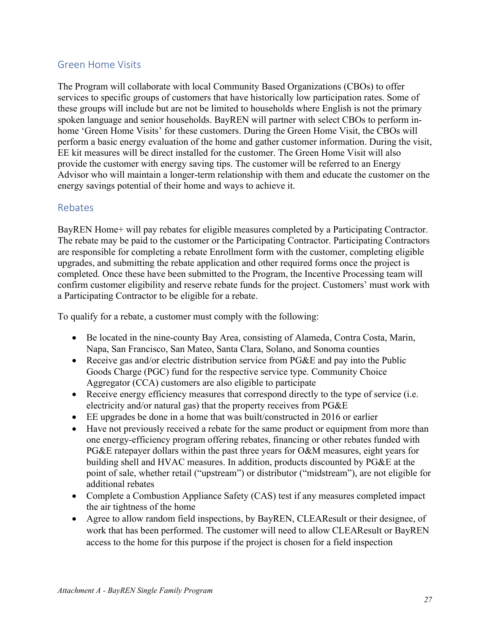### <span id="page-26-0"></span>Green Home Visits

The Program will collaborate with local Community Based Organizations (CBOs) to offer services to specific groups of customers that have historically low participation rates. Some of these groups will include but are not be limited to households where English is not the primary spoken language and senior households. BayREN will partner with select CBOs to perform inhome 'Green Home Visits' for these customers. During the Green Home Visit, the CBOs will perform a basic energy evaluation of the home and gather customer information. During the visit, EE kit measures will be direct installed for the customer. The Green Home Visit will also provide the customer with energy saving tips. The customer will be referred to an Energy Advisor who will maintain a longer-term relationship with them and educate the customer on the energy savings potential of their home and ways to achieve it.

### <span id="page-26-1"></span>Rebates

BayREN Home+ will pay rebates for eligible measures completed by a Participating Contractor. The rebate may be paid to the customer or the Participating Contractor. Participating Contractors are responsible for completing a rebate Enrollment form with the customer, completing eligible upgrades, and submitting the rebate application and other required forms once the project is completed. Once these have been submitted to the Program, the Incentive Processing team will confirm customer eligibility and reserve rebate funds for the project. Customers' must work with a Participating Contractor to be eligible for a rebate.

To qualify for a rebate, a customer must comply with the following:

- Be located in the nine-county Bay Area, consisting of Alameda, Contra Costa, Marin, Napa, San Francisco, San Mateo, Santa Clara, Solano, and Sonoma counties
- Receive gas and/or electric distribution service from PG&E and pay into the Public Goods Charge (PGC) fund for the respective service type. Community Choice Aggregator (CCA) customers are also eligible to participate
- Receive energy efficiency measures that correspond directly to the type of service (i.e. electricity and/or natural gas) that the property receives from PG&E
- EE upgrades be done in a home that was built/constructed in 2016 or earlier
- Have not previously received a rebate for the same product or equipment from more than one energy-efficiency program offering rebates, financing or other rebates funded with PG&E ratepayer dollars within the past three years for O&M measures, eight years for building shell and HVAC measures. In addition, products discounted by PG&E at the point of sale, whether retail ("upstream") or distributor ("midstream"), are not eligible for additional rebates
- Complete a Combustion Appliance Safety (CAS) test if any measures completed impact the air tightness of the home
- Agree to allow random field inspections, by BayREN, CLEAResult or their designee, of work that has been performed. The customer will need to allow CLEAResult or BayREN access to the home for this purpose if the project is chosen for a field inspection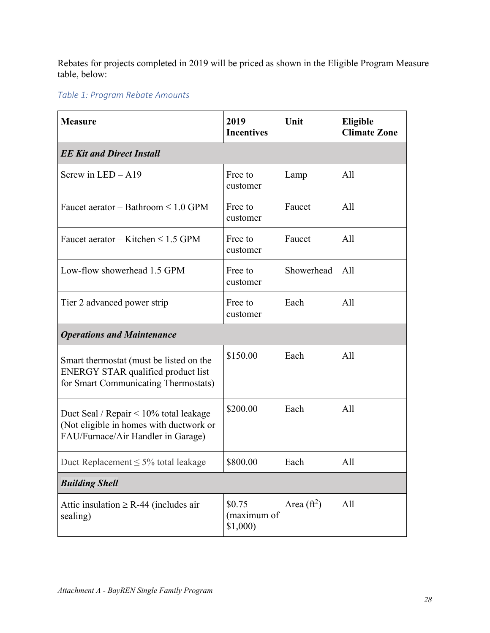Rebates for projects completed in 2019 will be priced as shown in the Eligible Program Measure table, below:

### *Table 1: Program Rebate Amounts*

| <b>Measure</b>                                                                                                                | 2019<br><b>Incentives</b>        | Unit                | Eligible<br><b>Climate Zone</b> |  |  |  |
|-------------------------------------------------------------------------------------------------------------------------------|----------------------------------|---------------------|---------------------------------|--|--|--|
| <b>EE Kit and Direct Install</b>                                                                                              |                                  |                     |                                 |  |  |  |
| Screw in $LED - A19$                                                                                                          | Free to<br>customer              | Lamp                | All                             |  |  |  |
| Faucet aerator – Bathroom $\leq 1.0$ GPM                                                                                      | Free to<br>customer              | Faucet              | A11                             |  |  |  |
| Faucet aerator – Kitchen $\leq 1.5$ GPM                                                                                       | Free to<br>customer              | Faucet              | All                             |  |  |  |
| Low-flow showerhead 1.5 GPM                                                                                                   | Free to<br>customer              | Showerhead          | All                             |  |  |  |
| Tier 2 advanced power strip                                                                                                   | Free to<br>customer              | Each                | All                             |  |  |  |
| <b>Operations and Maintenance</b>                                                                                             |                                  |                     |                                 |  |  |  |
| Smart thermostat (must be listed on the<br>ENERGY STAR qualified product list<br>for Smart Communicating Thermostats)         | \$150.00                         | Each                | All                             |  |  |  |
| Duct Seal / Repair $\leq 10\%$ total leakage<br>(Not eligible in homes with ductwork or<br>FAU/Furnace/Air Handler in Garage) | \$200.00                         | Each                | All                             |  |  |  |
| Duct Replacement $\leq$ 5% total leakage                                                                                      | \$800.00                         | Each                | All                             |  |  |  |
| <b>Building Shell</b>                                                                                                         |                                  |                     |                                 |  |  |  |
| Attic insulation $\geq$ R-44 (includes air<br>sealing)                                                                        | \$0.75<br>(maximum of<br>\$1,000 | Area $({\rm ft}^2)$ | All                             |  |  |  |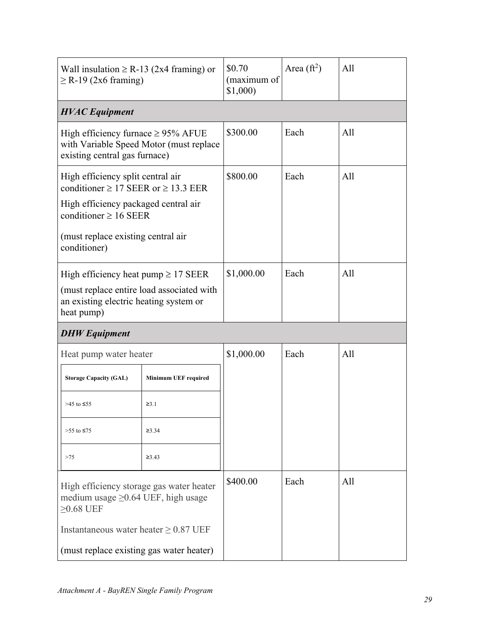| Wall insulation $\geq$ R-13 (2x4 framing) or<br>$\geq$ R-19 (2x6 framing)                                                                     |                             | \$0.70<br>(maximum of<br>\$1,000 | Area $({\rm ft}^2)$ | A11 |
|-----------------------------------------------------------------------------------------------------------------------------------------------|-----------------------------|----------------------------------|---------------------|-----|
| <b>HVAC</b> Equipment                                                                                                                         |                             |                                  |                     |     |
| High efficiency furnace $\geq$ 95% AFUE<br>with Variable Speed Motor (must replace<br>existing central gas furnace)                           |                             | \$300.00                         | Each                | All |
| High efficiency split central air<br>conditioner $\geq$ 17 SEER or $\geq$ 13.3 EER<br>High efficiency packaged central air                    |                             | \$800.00                         | Each                | A11 |
| conditioner $\geq 16$ SEER<br>(must replace existing central air<br>conditioner)                                                              |                             |                                  |                     |     |
| High efficiency heat pump $\geq$ 17 SEER<br>(must replace entire load associated with<br>an existing electric heating system or<br>heat pump) |                             | \$1,000.00                       | Each                | A11 |
| <b>DHW</b> Equipment                                                                                                                          |                             |                                  |                     |     |
| Heat pump water heater                                                                                                                        |                             | \$1,000.00                       | Each                | A11 |
| <b>Storage Capacity (GAL)</b>                                                                                                                 | <b>Minimum UEF required</b> |                                  |                     |     |
| >45 to ≤55                                                                                                                                    | $\geq 3.1$                  |                                  |                     |     |
| >55 to ≤75<br>$\geq 3.34$                                                                                                                     |                             |                                  |                     |     |
| >75                                                                                                                                           | $\geq 3.43$                 |                                  |                     |     |
| High efficiency storage gas water heater<br>medium usage $\geq$ 0.64 UEF, high usage<br>$\geq$ 0.68 UEF                                       |                             | \$400.00                         | Each                | All |
| Instantaneous water heater $\geq$ 0.87 UEF                                                                                                    |                             |                                  |                     |     |
| (must replace existing gas water heater)                                                                                                      |                             |                                  |                     |     |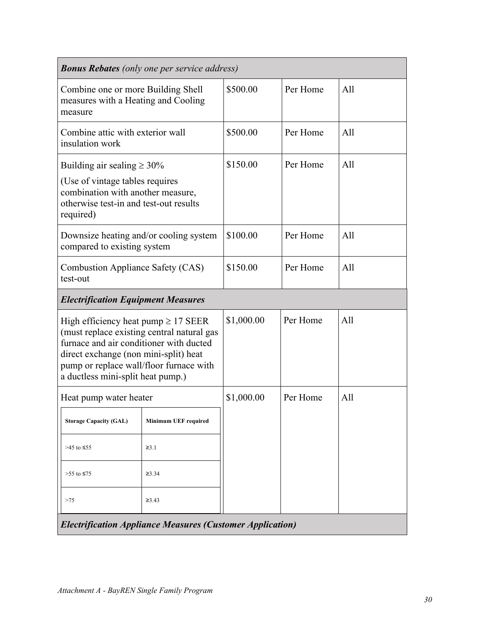<span id="page-29-0"></span>

|                                                                                                                                                                                                                                                            | <b>Bonus Rebates</b> (only one per service address) |            |          |     |
|------------------------------------------------------------------------------------------------------------------------------------------------------------------------------------------------------------------------------------------------------------|-----------------------------------------------------|------------|----------|-----|
| Combine one or more Building Shell<br>measures with a Heating and Cooling<br>measure                                                                                                                                                                       |                                                     | \$500.00   | Per Home | All |
| Combine attic with exterior wall<br>insulation work                                                                                                                                                                                                        |                                                     | \$500.00   | Per Home | All |
| Building air sealing $\geq 30\%$<br>(Use of vintage tables requires<br>combination with another measure,<br>otherwise test-in and test-out results<br>required)                                                                                            |                                                     | \$150.00   | Per Home | A11 |
| Downsize heating and/or cooling system<br>compared to existing system                                                                                                                                                                                      |                                                     | \$100.00   | Per Home | A11 |
| Combustion Appliance Safety (CAS)<br>test-out                                                                                                                                                                                                              |                                                     | \$150.00   | Per Home | A11 |
| <b>Electrification Equipment Measures</b>                                                                                                                                                                                                                  |                                                     |            |          |     |
| High efficiency heat pump $\geq$ 17 SEER<br>(must replace existing central natural gas<br>furnace and air conditioner with ducted<br>direct exchange (non mini-split) heat<br>pump or replace wall/floor furnace with<br>a ductless mini-split heat pump.) |                                                     | \$1,000.00 | Per Home | A11 |
| Heat pump water heater                                                                                                                                                                                                                                     |                                                     | \$1,000.00 | Per Home | A11 |
| <b>Storage Capacity (GAL)</b>                                                                                                                                                                                                                              | <b>Minimum UEF required</b>                         |            |          |     |
| $>45$ to $\leq 55$                                                                                                                                                                                                                                         | $\geq 3.1$                                          |            |          |     |
| >55 to ≤75                                                                                                                                                                                                                                                 | $\geq 3.34$                                         |            |          |     |
| >75                                                                                                                                                                                                                                                        | $\geq 3.43$                                         |            |          |     |
| <b>Electrification Appliance Measures (Customer Application)</b>                                                                                                                                                                                           |                                                     |            |          |     |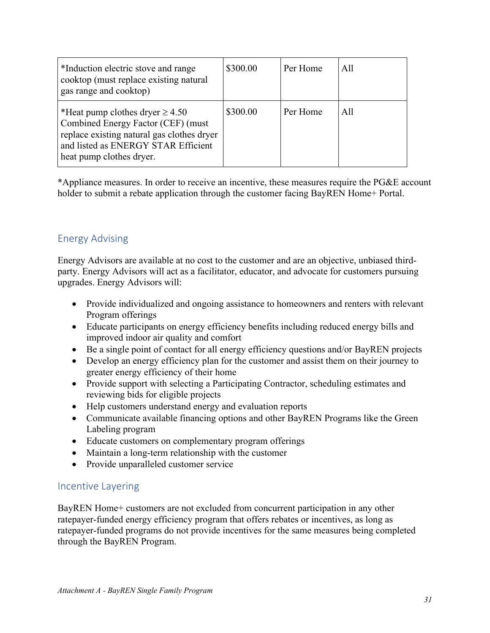| *Induction electric stove and range<br>cooktop (must replace existing natural<br>gas range and cooktop)                                                                                     | \$300.00 | Per Home | A11 |
|---------------------------------------------------------------------------------------------------------------------------------------------------------------------------------------------|----------|----------|-----|
| *Heat pump clothes dryer $\geq 4.50$<br>Combined Energy Factor (CEF) (must<br>replace existing natural gas clothes dryer<br>and listed as ENERGY STAR Efficient<br>heat pump clothes dryer. | \$300.00 | Per Home | A11 |

\*Appliance measures. In order to receive an incentive, these measures require the PG&E account holder to submit a rebate application through the customer facing BayREN Home+ Portal.

### Energy Advising

Energy Advisors are available at no cost to the customer and are an objective, unbiased thirdparty. Energy Advisors will act as a facilitator, educator, and advocate for customers pursuing upgrades. Energy Advisors will:

- Provide individualized and ongoing assistance to homeowners and renters with relevant Program offerings
- Educate participants on energy efficiency benefits including reduced energy bills and improved indoor air quality and comfort
- Be a single point of contact for all energy efficiency questions and/or BayREN projects
- Develop an energy efficiency plan for the customer and assist them on their journey to greater energy efficiency of their home
- Provide support with selecting a Participating Contractor, scheduling estimates and reviewing bids for eligible projects
- Help customers understand energy and evaluation reports
- Communicate available financing options and other BayREN Programs like the Green Labeling program
- Educate customers on complementary program offerings
- Maintain a long-term relationship with the customer
- Provide unparalleled customer service

### <span id="page-30-0"></span>Incentive Layering

BayREN Home+ customers are not excluded from concurrent participation in any other ratepayer-funded energy efficiency program that offers rebates or incentives, as long as ratepayer-funded programs do not provide incentives for the same measures being completed through the BayREN Program.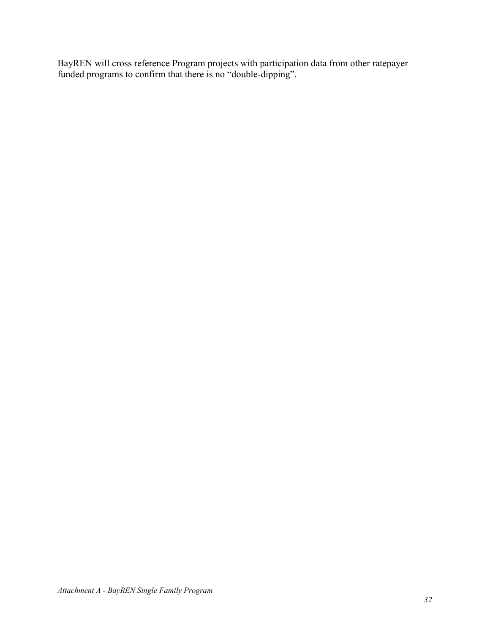BayREN will cross reference Program projects with participation data from other ratepayer funded programs to confirm that there is no "double-dipping".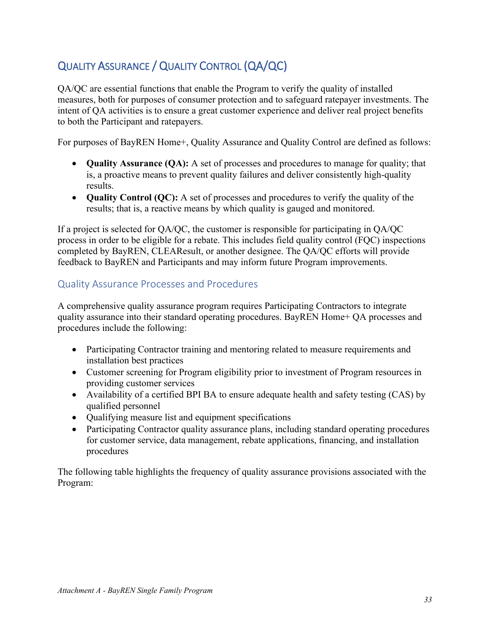## <span id="page-32-0"></span>QUALITY ASSURANCE / QUALITY CONTROL (QA/QC)

QA/QC are essential functions that enable the Program to verify the quality of installed measures, both for purposes of consumer protection and to safeguard ratepayer investments. The intent of QA activities is to ensure a great customer experience and deliver real project benefits to both the Participant and ratepayers.

For purposes of BayREN Home+, Quality Assurance and Quality Control are defined as follows:

- **Quality Assurance (QA):** A set of processes and procedures to manage for quality; that is, a proactive means to prevent quality failures and deliver consistently high-quality results.
- **Quality Control (QC):** A set of processes and procedures to verify the quality of the results; that is, a reactive means by which quality is gauged and monitored.

If a project is selected for QA/QC, the customer is responsible for participating in QA/QC process in order to be eligible for a rebate. This includes field quality control (FQC) inspections completed by BayREN, CLEAResult, or another designee. The QA/QC efforts will provide feedback to BayREN and Participants and may inform future Program improvements.

### <span id="page-32-1"></span>Quality Assurance Processes and Procedures

A comprehensive quality assurance program requires Participating Contractors to integrate quality assurance into their standard operating procedures. BayREN Home+ QA processes and procedures include the following:

- Participating Contractor training and mentoring related to measure requirements and installation best practices
- Customer screening for Program eligibility prior to investment of Program resources in providing customer services
- Availability of a certified BPI BA to ensure adequate health and safety testing (CAS) by qualified personnel
- Qualifying measure list and equipment specifications
- Participating Contractor quality assurance plans, including standard operating procedures for customer service, data management, rebate applications, financing, and installation procedures

The following table highlights the frequency of quality assurance provisions associated with the Program: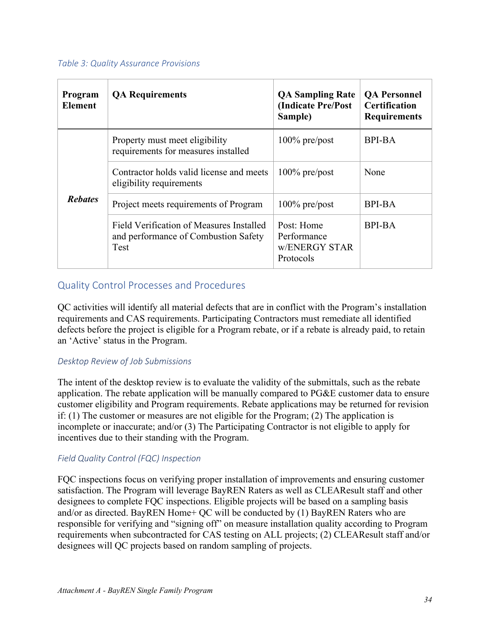#### *Table 3: Quality Assurance Provisions*

| Program<br><b>Element</b> | <b>QA</b> Requirements                                                                          | <b>QA Sampling Rate</b><br>(Indicate Pre/Post<br>Sample) | <b>QA Personnel</b><br><b>Certification</b><br><b>Requirements</b> |
|---------------------------|-------------------------------------------------------------------------------------------------|----------------------------------------------------------|--------------------------------------------------------------------|
|                           | Property must meet eligibility<br>requirements for measures installed                           | $100\%$ pre/post                                         | <b>BPI-BA</b>                                                      |
| <b>Rebates</b>            | Contractor holds valid license and meets<br>eligibility requirements                            | $100\%$ pre/post                                         | None                                                               |
|                           | Project meets requirements of Program                                                           | $100\%$ pre/post                                         | <b>BPI-BA</b>                                                      |
|                           | Field Verification of Measures Installed<br>and performance of Combustion Safety<br><b>Test</b> | Post: Home<br>Performance<br>w/ENERGY STAR<br>Protocols  | <b>BPI-BA</b>                                                      |

### <span id="page-33-0"></span>Quality Control Processes and Procedures

QC activities will identify all material defects that are in conflict with the Program's installation requirements and CAS requirements. Participating Contractors must remediate all identified defects before the project is eligible for a Program rebate, or if a rebate is already paid, to retain an 'Active' status in the Program.

#### <span id="page-33-1"></span>*Desktop Review of Job Submissions*

The intent of the desktop review is to evaluate the validity of the submittals, such as the rebate application. The rebate application will be manually compared to PG&E customer data to ensure customer eligibility and Program requirements. Rebate applications may be returned for revision if: (1) The customer or measures are not eligible for the Program; (2) The application is incomplete or inaccurate; and/or (3) The Participating Contractor is not eligible to apply for incentives due to their standing with the Program.

#### <span id="page-33-2"></span>*Field Quality Control (FQC) Inspection*

FQC inspections focus on verifying proper installation of improvements and ensuring customer satisfaction. The Program will leverage BayREN Raters as well as CLEAResult staff and other designees to complete FQC inspections. Eligible projects will be based on a sampling basis and/or as directed. BayREN Home+ QC will be conducted by (1) BayREN Raters who are responsible for verifying and "signing off" on measure installation quality according to Program requirements when subcontracted for CAS testing on ALL projects; (2) CLEAResult staff and/or designees will QC projects based on random sampling of projects.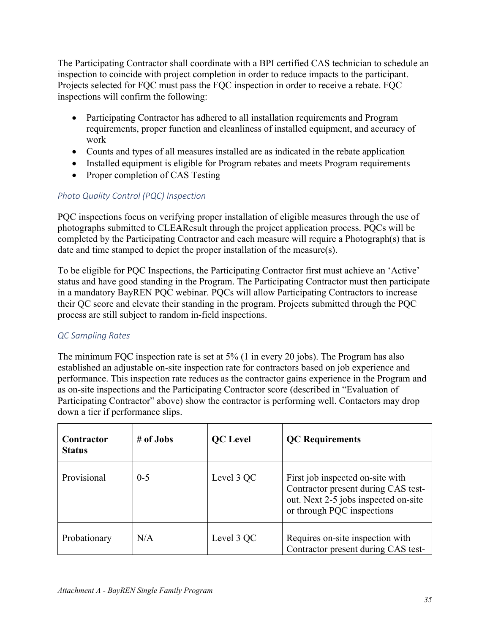The Participating Contractor shall coordinate with a BPI certified CAS technician to schedule an inspection to coincide with project completion in order to reduce impacts to the participant. Projects selected for FQC must pass the FQC inspection in order to receive a rebate. FQC inspections will confirm the following:

- Participating Contractor has adhered to all installation requirements and Program requirements, proper function and cleanliness of installed equipment, and accuracy of work
- Counts and types of all measures installed are as indicated in the rebate application
- Installed equipment is eligible for Program rebates and meets Program requirements
- Proper completion of CAS Testing

#### <span id="page-34-0"></span>*Photo Quality Control (PQC) Inspection*

PQC inspections focus on verifying proper installation of eligible measures through the use of photographs submitted to CLEAResult through the project application process. PQCs will be completed by the Participating Contractor and each measure will require a Photograph(s) that is date and time stamped to depict the proper installation of the measure(s).

To be eligible for PQC Inspections, the Participating Contractor first must achieve an 'Active' status and have good standing in the Program. The Participating Contractor must then participate in a mandatory BayREN PQC webinar. PQCs will allow Participating Contractors to increase their QC score and elevate their standing in the program. Projects submitted through the PQC process are still subject to random in-field inspections.

#### <span id="page-34-1"></span>*QC Sampling Rates*

The minimum FQC inspection rate is set at 5% (1 in every 20 jobs). The Program has also established an adjustable on-site inspection rate for contractors based on job experience and performance. This inspection rate reduces as the contractor gains experience in the Program and as on-site inspections and the Participating Contractor score (described in "Evaluation of Participating Contractor" above) show the contractor is performing well. Contactors may drop down a tier if performance slips.

| Contractor<br><b>Status</b> | # of Jobs | <b>QC</b> Level | <b>QC</b> Requirements                                                                                                                        |
|-----------------------------|-----------|-----------------|-----------------------------------------------------------------------------------------------------------------------------------------------|
| Provisional                 | $0 - 5$   | Level 3 QC      | First job inspected on-site with<br>Contractor present during CAS test-<br>out. Next 2-5 jobs inspected on-site<br>or through PQC inspections |
| Probationary                | N/A       | Level 3 QC      | Requires on-site inspection with<br>Contractor present during CAS test-                                                                       |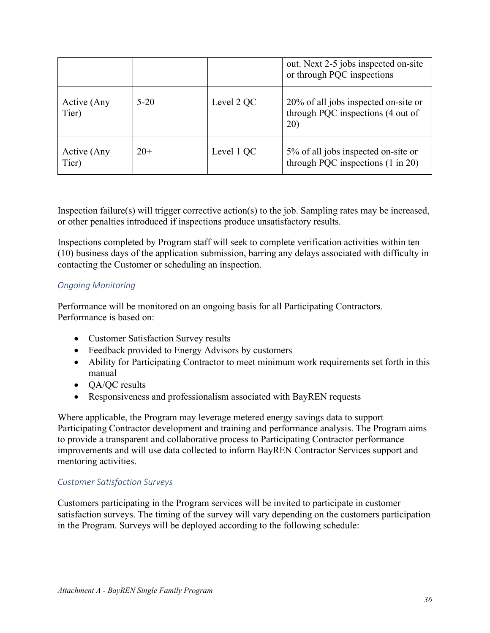|                      |        |            | out. Next 2-5 jobs inspected on-site<br>or through PQC inspections                  |
|----------------------|--------|------------|-------------------------------------------------------------------------------------|
| Active (Any<br>Tier) | $5-20$ | Level 2 QC | 20% of all jobs inspected on-site or<br>through PQC inspections (4 out of<br>20)    |
| Active (Any<br>Tier) | $20+$  | Level 1 QC | 5% of all jobs inspected on-site or<br>through PQC inspections $(1 \text{ in } 20)$ |

Inspection failure(s) will trigger corrective action(s) to the job. Sampling rates may be increased, or other penalties introduced if inspections produce unsatisfactory results.

Inspections completed by Program staff will seek to complete verification activities within ten (10) business days of the application submission, barring any delays associated with difficulty in contacting the Customer or scheduling an inspection.

#### <span id="page-35-0"></span>*Ongoing Monitoring*

Performance will be monitored on an ongoing basis for all Participating Contractors. Performance is based on:

- Customer Satisfaction Survey results
- Feedback provided to Energy Advisors by customers
- Ability for Participating Contractor to meet minimum work requirements set forth in this manual
- QA/QC results
- Responsiveness and professionalism associated with BayREN requests

Where applicable, the Program may leverage metered energy savings data to support Participating Contractor development and training and performance analysis. The Program aims to provide a transparent and collaborative process to Participating Contractor performance improvements and will use data collected to inform BayREN Contractor Services support and mentoring activities.

#### <span id="page-35-1"></span>*Customer Satisfaction Surveys*

Customers participating in the Program services will be invited to participate in customer satisfaction surveys. The timing of the survey will vary depending on the customers participation in the Program. Surveys will be deployed according to the following schedule: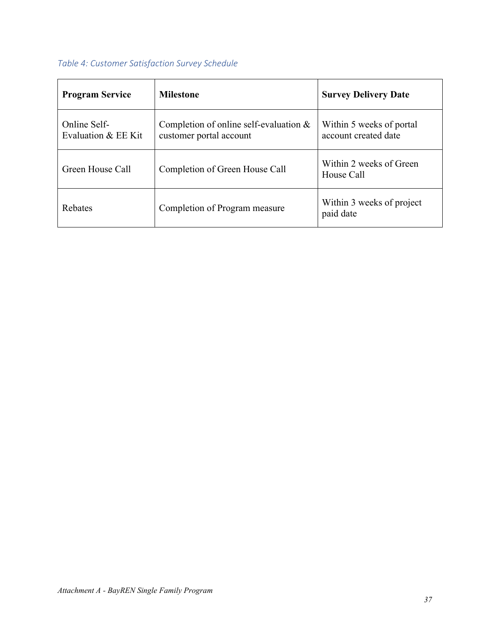## *Table 4: Customer Satisfaction Survey Schedule*

| <b>Program Service</b>              | <b>Milestone</b>                                                     | <b>Survey Delivery Date</b>                      |
|-------------------------------------|----------------------------------------------------------------------|--------------------------------------------------|
| Online Self-<br>Evaluation & EE Kit | Completion of online self-evaluation $\&$<br>customer portal account | Within 5 weeks of portal<br>account created date |
| Green House Call                    | Completion of Green House Call                                       | Within 2 weeks of Green<br>House Call            |
| Rebates                             | Completion of Program measure                                        | Within 3 weeks of project<br>paid date           |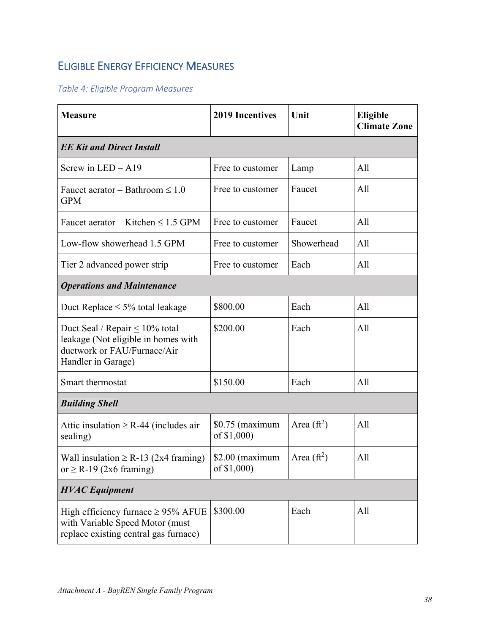## <span id="page-37-0"></span>ELIGIBLE ENERGY EFFICIENCY MEASURES

### *Table 4: Eligible Program Measures*

| <b>Measure</b>                                                                                                                   | <b>2019 Incentives</b>          | Unit          | <b>Eligible</b><br><b>Climate Zone</b> |
|----------------------------------------------------------------------------------------------------------------------------------|---------------------------------|---------------|----------------------------------------|
| <b>EE Kit and Direct Install</b>                                                                                                 |                                 |               |                                        |
| Screw in $LED - A19$                                                                                                             | Free to customer                | Lamp          | All                                    |
| Faucet aerator – Bathroom $\leq 1.0$<br><b>GPM</b>                                                                               | Free to customer                | Faucet        | All                                    |
| Faucet aerator – Kitchen $\leq 1.5$ GPM                                                                                          | Free to customer                | Faucet        | All                                    |
| Low-flow showerhead 1.5 GPM                                                                                                      | Free to customer                | Showerhead    | All                                    |
| Tier 2 advanced power strip                                                                                                      | Free to customer                | Each          | All                                    |
| <b>Operations and Maintenance</b>                                                                                                |                                 |               |                                        |
| Duct Replace $\leq 5\%$ total leakage                                                                                            | \$800.00                        | Each          | All                                    |
| Duct Seal / Repair $\leq 10\%$ total<br>leakage (Not eligible in homes with<br>ductwork or FAU/Furnace/Air<br>Handler in Garage) | \$200.00                        | Each          | All                                    |
| Smart thermostat                                                                                                                 | \$150.00                        | Each          | All                                    |
| <b>Building Shell</b>                                                                                                            |                                 |               |                                        |
| Attic insulation $\geq$ R-44 (includes air<br>sealing)                                                                           | $$0.75$ (maximum<br>of \$1,000) | Area $(ft^2)$ | All                                    |
| Wall insulation $\geq$ R-13 (2x4 framing)<br>or $\geq$ R-19 (2x6 framing)                                                        | $$2.00$ (maximum<br>of \$1,000) | Area $(ft^2)$ | All                                    |
| <b>HVAC</b> Equipment                                                                                                            |                                 |               |                                        |
| High efficiency furnace $\geq$ 95% AFUE<br>with Variable Speed Motor (must<br>replace existing central gas furnace)              | \$300.00                        | Each          | All                                    |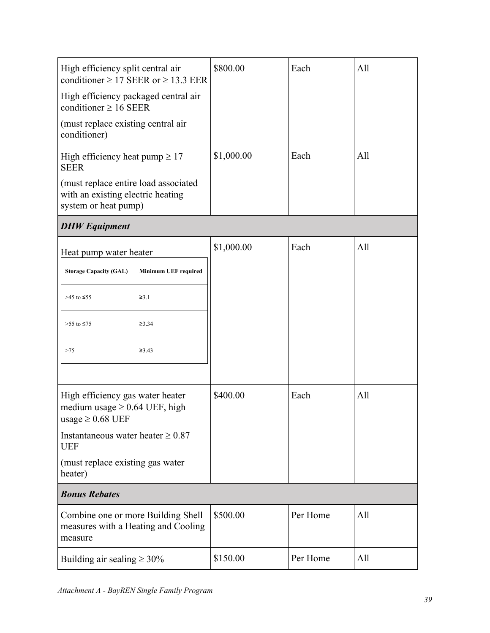| High efficiency split central air<br>conditioner $\geq$ 17 SEER or $\geq$ 13.3 EER                |                      | \$800.00   | Each     | All |
|---------------------------------------------------------------------------------------------------|----------------------|------------|----------|-----|
| High efficiency packaged central air<br>conditioner $\geq 16$ SEER                                |                      |            |          |     |
| (must replace existing central air<br>conditioner)                                                |                      |            |          |     |
| High efficiency heat pump $\geq 17$<br><b>SEER</b>                                                |                      | \$1,000.00 | Each     | All |
| (must replace entire load associated<br>with an existing electric heating<br>system or heat pump) |                      |            |          |     |
| <b>DHW</b> Equipment                                                                              |                      |            |          |     |
| Heat pump water heater                                                                            |                      | \$1,000.00 | Each     | All |
| <b>Storage Capacity (GAL)</b>                                                                     | Minimum UEF required |            |          |     |
| >45 to ≤55                                                                                        | $\geq 3.1$           |            |          |     |
| >55 to ≤75                                                                                        | $\geq 3.34$          |            |          |     |
| >75                                                                                               | ≥3.43                |            |          |     |
|                                                                                                   |                      |            |          |     |
| High efficiency gas water heater<br>medium usage $\geq$ 0.64 UEF, high<br>usage $\geq 0.68$ UEF   |                      | \$400.00   | Each     | All |
| Instantaneous water heater $\geq 0.87$<br><b>UEF</b>                                              |                      |            |          |     |
| (must replace existing gas water<br>heater)                                                       |                      |            |          |     |
| <b>Bonus Rebates</b>                                                                              |                      |            |          |     |
| Combine one or more Building Shell<br>measures with a Heating and Cooling<br>measure              |                      | \$500.00   | Per Home | All |
| Building air sealing $\geq 30\%$                                                                  |                      | \$150.00   | Per Home | All |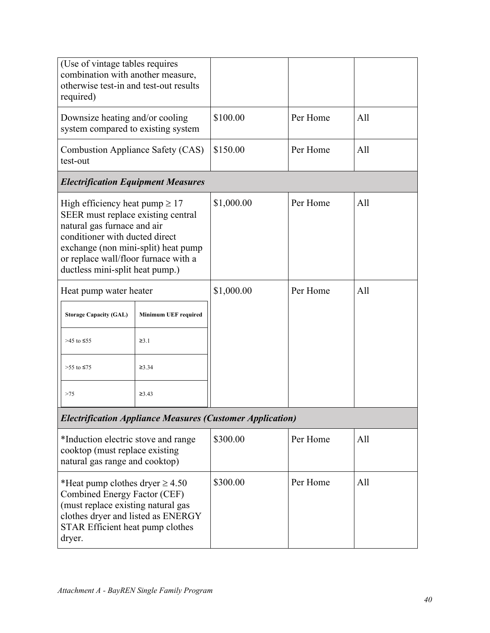| (Use of vintage tables requires<br>combination with another measure,<br>otherwise test-in and test-out results<br>required)                                                                                                                                  |                             |            |          |     |
|--------------------------------------------------------------------------------------------------------------------------------------------------------------------------------------------------------------------------------------------------------------|-----------------------------|------------|----------|-----|
| Downsize heating and/or cooling<br>system compared to existing system                                                                                                                                                                                        |                             | \$100.00   | Per Home | All |
| <b>Combustion Appliance Safety (CAS)</b><br>test-out                                                                                                                                                                                                         |                             | \$150.00   | Per Home | All |
| <b>Electrification Equipment Measures</b>                                                                                                                                                                                                                    |                             |            |          |     |
| High efficiency heat pump $\geq 17$<br>SEER must replace existing central<br>natural gas furnace and air<br>conditioner with ducted direct<br>exchange (non mini-split) heat pump<br>or replace wall/floor furnace with a<br>ductless mini-split heat pump.) |                             | \$1,000.00 | Per Home | All |
| Heat pump water heater                                                                                                                                                                                                                                       |                             | \$1,000.00 | Per Home | All |
| <b>Storage Capacity (GAL)</b>                                                                                                                                                                                                                                | <b>Minimum UEF required</b> |            |          |     |
| >45 to $\leq$ 55                                                                                                                                                                                                                                             | $\geq 3.1$                  |            |          |     |
| >55 to ≤75                                                                                                                                                                                                                                                   | $\geq 3.34$                 |            |          |     |
| >75                                                                                                                                                                                                                                                          | $\geq 3.43$                 |            |          |     |
| <b>Electrification Appliance Measures (Customer Application)</b>                                                                                                                                                                                             |                             |            |          |     |
| *Induction electric stove and range<br>cooktop (must replace existing<br>natural gas range and cooktop)                                                                                                                                                      |                             | \$300.00   | Per Home | All |
| *Heat pump clothes dryer $\geq 4.50$<br>Combined Energy Factor (CEF)<br>(must replace existing natural gas<br>clothes dryer and listed as ENERGY<br>STAR Efficient heat pump clothes<br>dryer.                                                               |                             | \$300.00   | Per Home | All |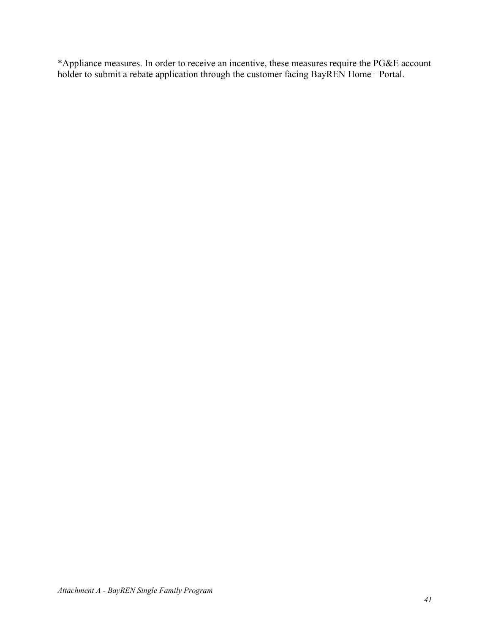\*Appliance measures. In order to receive an incentive, these measures require the PG&E account holder to submit a rebate application through the customer facing BayREN Home+ Portal.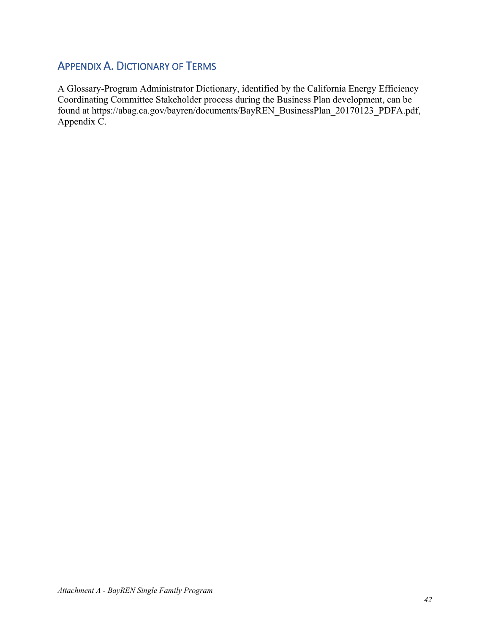## <span id="page-41-0"></span>APPENDIX A. DICTIONARY OF TERMS

A Glossary-Program Administrator Dictionary, identified by the California Energy Efficiency Coordinating Committee Stakeholder process during the Business Plan development, can be found at https://abag.ca.gov/bayren/documents/BayREN\_BusinessPlan\_20170123\_PDFA.pdf, Appendix C.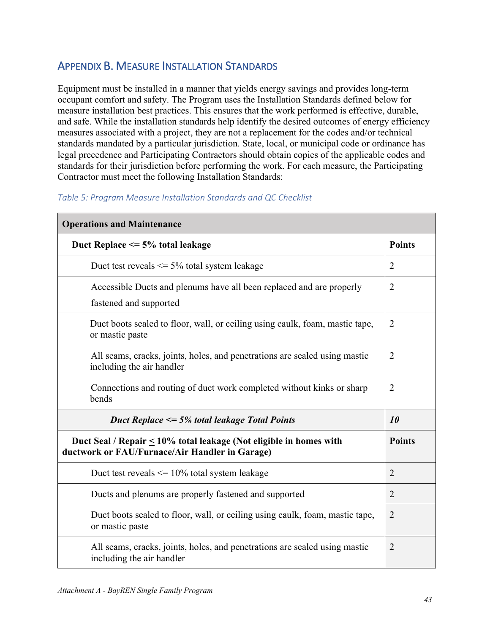## <span id="page-42-0"></span>APPENDIX B. MEASURE INSTALLATION STANDARDS

Equipment must be installed in a manner that yields energy savings and provides long-term occupant comfort and safety. The Program uses the Installation Standards defined below for measure installation best practices. This ensures that the work performed is effective, durable, and safe. While the installation standards help identify the desired outcomes of energy efficiency measures associated with a project, they are not a replacement for the codes and/or technical standards mandated by a particular jurisdiction. State, local, or municipal code or ordinance has legal precedence and Participating Contractors should obtain copies of the applicable codes and standards for their jurisdiction before performing the work. For each measure, the Participating Contractor must meet the following Installation Standards:

## **Operations and Maintenance Duct Replace**  $\leq$  **5% total leakage <b>Points Points** Duct test reveals  $\le$  5% total system leakage 2 Accessible Ducts and plenums have all been replaced and are properly fastened and supported 2 Duct boots sealed to floor, wall, or ceiling using caulk, foam, mastic tape, or mastic paste  $\overline{2}$ All seams, cracks, joints, holes, and penetrations are sealed using mastic including the air handler 2 Connections and routing of duct work completed without kinks or sharp bends  $\overline{2}$ *Duct Replace <= 5% total leakage Total Points 10*  **Duct Seal / Repair < 10% total leakage (Not eligible in homes with ductwork or FAU/Furnace/Air Handler in Garage) Points** Duct test reveals  $\leq$  10% total system leakage 2 Ducts and plenums are properly fastened and supported 2 Duct boots sealed to floor, wall, or ceiling using caulk, foam, mastic tape, or mastic paste 2 All seams, cracks, joints, holes, and penetrations are sealed using mastic including the air handler 2

#### *Table 5: Program Measure Installation Standards and QC Checklist*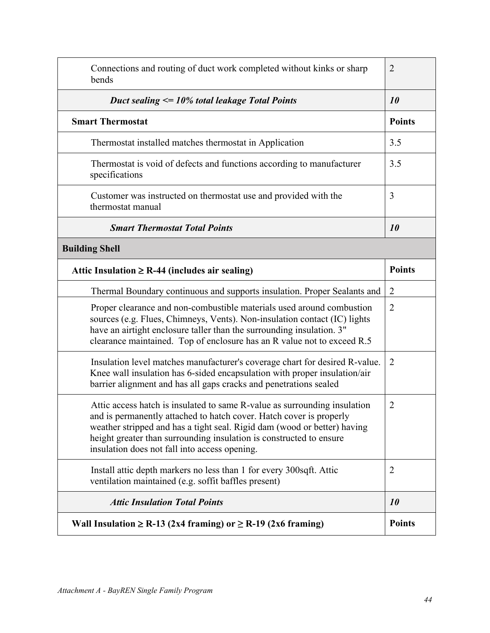| Connections and routing of duct work completed without kinks or sharp<br>bends                                                                                                                                                                                                                                                                       | $\overline{2}$ |
|------------------------------------------------------------------------------------------------------------------------------------------------------------------------------------------------------------------------------------------------------------------------------------------------------------------------------------------------------|----------------|
| Duct sealing $\leq 10\%$ total leakage Total Points                                                                                                                                                                                                                                                                                                  | 10             |
| <b>Smart Thermostat</b>                                                                                                                                                                                                                                                                                                                              | <b>Points</b>  |
| Thermostat installed matches thermostat in Application                                                                                                                                                                                                                                                                                               | 3.5            |
| Thermostat is void of defects and functions according to manufacturer<br>specifications                                                                                                                                                                                                                                                              | 3.5            |
| Customer was instructed on thermostat use and provided with the<br>thermostat manual                                                                                                                                                                                                                                                                 | 3              |
| <b>Smart Thermostat Total Points</b>                                                                                                                                                                                                                                                                                                                 | <i>10</i>      |
| <b>Building Shell</b>                                                                                                                                                                                                                                                                                                                                |                |
| Attic Insulation $\geq$ R-44 (includes air sealing)                                                                                                                                                                                                                                                                                                  | <b>Points</b>  |
| Thermal Boundary continuous and supports insulation. Proper Sealants and                                                                                                                                                                                                                                                                             | $\overline{2}$ |
| Proper clearance and non-combustible materials used around combustion<br>sources (e.g. Flues, Chimneys, Vents). Non-insulation contact (IC) lights<br>have an airtight enclosure taller than the surrounding insulation. 3"<br>clearance maintained. Top of enclosure has an R value not to exceed R.5                                               | $\overline{2}$ |
| Insulation level matches manufacturer's coverage chart for desired R-value.<br>Knee wall insulation has 6-sided encapsulation with proper insulation/air<br>barrier alignment and has all gaps cracks and penetrations sealed                                                                                                                        | $\overline{2}$ |
| Attic access hatch is insulated to same R-value as surrounding insulation<br>and is permanently attached to hatch cover. Hatch cover is properly<br>weather stripped and has a tight seal. Rigid dam (wood or better) having<br>height greater than surrounding insulation is constructed to ensure<br>insulation does not fall into access opening. | $\overline{2}$ |
| Install attic depth markers no less than 1 for every 300sqft. Attic<br>ventilation maintained (e.g. soffit baffles present)                                                                                                                                                                                                                          | $\overline{2}$ |
| <b>Attic Insulation Total Points</b>                                                                                                                                                                                                                                                                                                                 | 10             |
| Wall Insulation $\geq$ R-13 (2x4 framing) or $\geq$ R-19 (2x6 framing)                                                                                                                                                                                                                                                                               | <b>Points</b>  |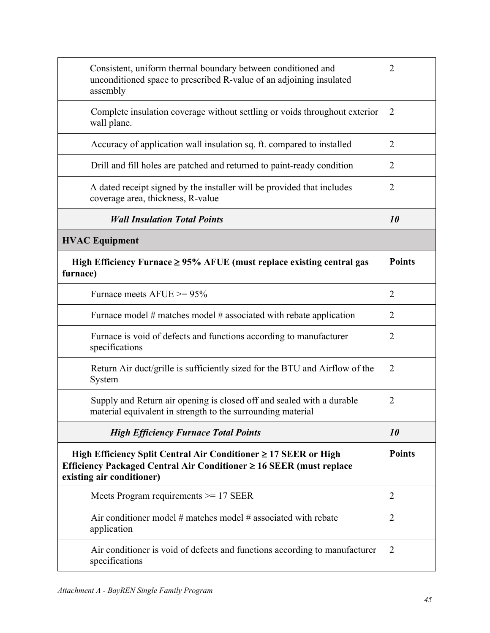| Consistent, uniform thermal boundary between conditioned and<br>unconditioned space to prescribed R-value of an adjoining insulated<br>assembly                          | $\overline{2}$ |
|--------------------------------------------------------------------------------------------------------------------------------------------------------------------------|----------------|
| Complete insulation coverage without settling or voids throughout exterior<br>wall plane.                                                                                | $\overline{2}$ |
| Accuracy of application wall insulation sq. ft. compared to installed                                                                                                    | $\overline{2}$ |
| Drill and fill holes are patched and returned to paint-ready condition                                                                                                   | $\overline{2}$ |
| A dated receipt signed by the installer will be provided that includes<br>coverage area, thickness, R-value                                                              | $\overline{2}$ |
| <b>Wall Insulation Total Points</b>                                                                                                                                      | <i>10</i>      |
| <b>HVAC Equipment</b>                                                                                                                                                    |                |
| High Efficiency Furnace $\geq$ 95% AFUE (must replace existing central gas<br>furnace)                                                                                   | <b>Points</b>  |
| Furnace meets $AFUE \ge 95\%$                                                                                                                                            | $\overline{2}$ |
| Furnace model $#$ matches model $#$ associated with rebate application                                                                                                   | $\overline{2}$ |
| Furnace is void of defects and functions according to manufacturer<br>specifications                                                                                     | $\overline{2}$ |
| Return Air duct/grille is sufficiently sized for the BTU and Airflow of the<br>System                                                                                    | $\overline{2}$ |
| Supply and Return air opening is closed off and sealed with a durable<br>material equivalent in strength to the surrounding material                                     | $\overline{2}$ |
| <b>High Efficiency Furnace Total Points</b>                                                                                                                              | 10             |
| High Efficiency Split Central Air Conditioner $\geq$ 17 SEER or High<br>Efficiency Packaged Central Air Conditioner ≥ 16 SEER (must replace<br>existing air conditioner) | <b>Points</b>  |
| Meets Program requirements $\geq$ 17 SEER                                                                                                                                | $\overline{2}$ |
| Air conditioner model $#$ matches model $#$ associated with rebate<br>application                                                                                        | $\overline{2}$ |
| Air conditioner is void of defects and functions according to manufacturer<br>specifications                                                                             | $\overline{2}$ |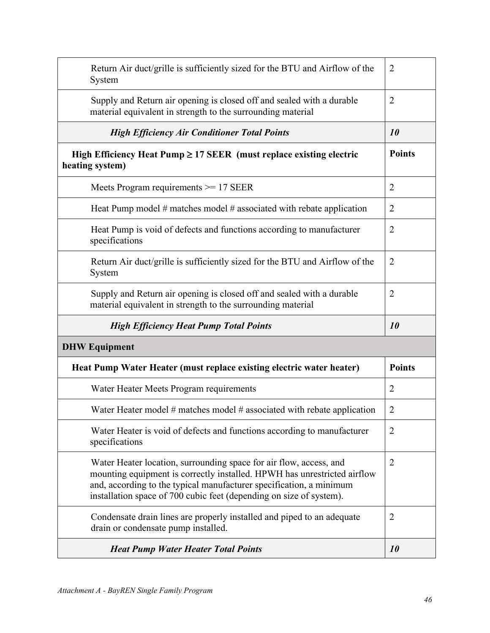| Return Air duct/grille is sufficiently sized for the BTU and Airflow of the<br>System                                                                                                                                                                                                        | $\overline{2}$ |
|----------------------------------------------------------------------------------------------------------------------------------------------------------------------------------------------------------------------------------------------------------------------------------------------|----------------|
| Supply and Return air opening is closed off and sealed with a durable<br>material equivalent in strength to the surrounding material                                                                                                                                                         | $\overline{2}$ |
| <b>High Efficiency Air Conditioner Total Points</b>                                                                                                                                                                                                                                          | 10             |
| High Efficiency Heat Pump $\geq$ 17 SEER (must replace existing electric<br>heating system)                                                                                                                                                                                                  | <b>Points</b>  |
| Meets Program requirements $\geq$ 17 SEER                                                                                                                                                                                                                                                    | $\overline{2}$ |
| Heat Pump model $#$ matches model $#$ associated with rebate application                                                                                                                                                                                                                     | $\overline{2}$ |
| Heat Pump is void of defects and functions according to manufacturer<br>specifications                                                                                                                                                                                                       | $\overline{2}$ |
| Return Air duct/grille is sufficiently sized for the BTU and Airflow of the<br>System                                                                                                                                                                                                        | $\overline{2}$ |
| Supply and Return air opening is closed off and sealed with a durable<br>material equivalent in strength to the surrounding material                                                                                                                                                         | $\overline{2}$ |
|                                                                                                                                                                                                                                                                                              |                |
| <b>High Efficiency Heat Pump Total Points</b>                                                                                                                                                                                                                                                | 10             |
| <b>DHW Equipment</b>                                                                                                                                                                                                                                                                         |                |
| Heat Pump Water Heater (must replace existing electric water heater)                                                                                                                                                                                                                         | <b>Points</b>  |
| Water Heater Meets Program requirements                                                                                                                                                                                                                                                      | $\overline{2}$ |
| Water Heater model $#$ matches model $#$ associated with rebate application                                                                                                                                                                                                                  | $\overline{2}$ |
| Water Heater is void of defects and functions according to manufacturer<br>specifications                                                                                                                                                                                                    | $\overline{2}$ |
| Water Heater location, surrounding space for air flow, access, and<br>mounting equipment is correctly installed. HPWH has unrestricted airflow<br>and, according to the typical manufacturer specification, a minimum<br>installation space of 700 cubic feet (depending on size of system). | $\overline{2}$ |
| Condensate drain lines are properly installed and piped to an adequate<br>drain or condensate pump installed.                                                                                                                                                                                | $\overline{2}$ |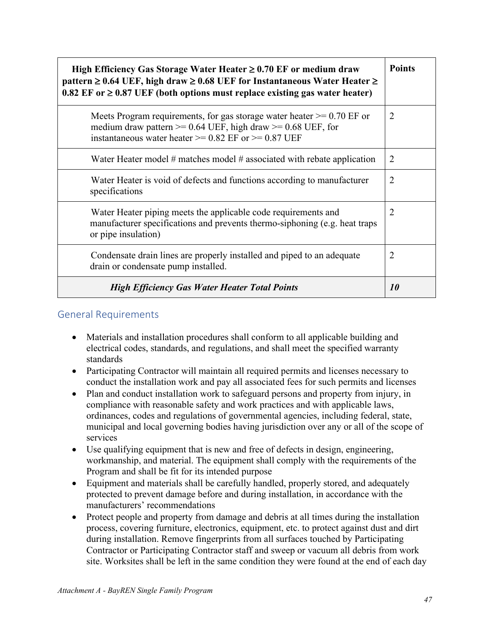| High Efficiency Gas Storage Water Heater $\geq 0.70$ EF or medium draw<br>pattern $\geq 0.64$ UEF, high draw $\geq 0.68$ UEF for Instantaneous Water Heater $\geq$<br>$0.82$ EF or $\geq 0.87$ UEF (both options must replace existing gas water heater) | <b>Points</b>  |
|----------------------------------------------------------------------------------------------------------------------------------------------------------------------------------------------------------------------------------------------------------|----------------|
| Meets Program requirements, for gas storage water heater $\geq 0.70$ EF or<br>medium draw pattern $\ge$ = 0.64 UEF, high draw $\ge$ = 0.68 UEF, for<br>instantaneous water heater $\ge$ 0.82 EF or $\ge$ 0.87 UEF                                        | $\overline{2}$ |
| Water Heater model $#$ matches model $#$ associated with rebate application                                                                                                                                                                              | $\overline{2}$ |
| Water Heater is void of defects and functions according to manufacturer<br>specifications                                                                                                                                                                | $\overline{2}$ |
| Water Heater piping meets the applicable code requirements and<br>manufacturer specifications and prevents thermo-siphoning (e.g. heat traps<br>or pipe insulation)                                                                                      | 2              |
| Condensate drain lines are properly installed and piped to an adequate<br>drain or condensate pump installed.                                                                                                                                            | $\overline{2}$ |
| <b>High Efficiency Gas Water Heater Total Points</b>                                                                                                                                                                                                     | <i>10</i>      |

### <span id="page-46-0"></span>General Requirements

- Materials and installation procedures shall conform to all applicable building and electrical codes, standards, and regulations, and shall meet the specified warranty standards
- Participating Contractor will maintain all required permits and licenses necessary to conduct the installation work and pay all associated fees for such permits and licenses
- Plan and conduct installation work to safeguard persons and property from injury, in compliance with reasonable safety and work practices and with applicable laws, ordinances, codes and regulations of governmental agencies, including federal, state, municipal and local governing bodies having jurisdiction over any or all of the scope of services
- Use qualifying equipment that is new and free of defects in design, engineering, workmanship, and material. The equipment shall comply with the requirements of the Program and shall be fit for its intended purpose
- Equipment and materials shall be carefully handled, properly stored, and adequately protected to prevent damage before and during installation, in accordance with the manufacturers' recommendations
- Protect people and property from damage and debris at all times during the installation process, covering furniture, electronics, equipment, etc. to protect against dust and dirt during installation. Remove fingerprints from all surfaces touched by Participating Contractor or Participating Contractor staff and sweep or vacuum all debris from work site. Worksites shall be left in the same condition they were found at the end of each day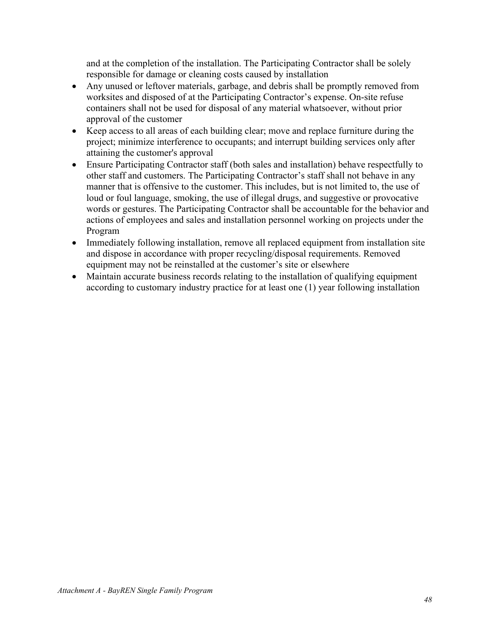and at the completion of the installation. The Participating Contractor shall be solely responsible for damage or cleaning costs caused by installation

- Any unused or leftover materials, garbage, and debris shall be promptly removed from worksites and disposed of at the Participating Contractor's expense. On-site refuse containers shall not be used for disposal of any material whatsoever, without prior approval of the customer
- Keep access to all areas of each building clear; move and replace furniture during the project; minimize interference to occupants; and interrupt building services only after attaining the customer's approval
- Ensure Participating Contractor staff (both sales and installation) behave respectfully to other staff and customers. The Participating Contractor's staff shall not behave in any manner that is offensive to the customer. This includes, but is not limited to, the use of loud or foul language, smoking, the use of illegal drugs, and suggestive or provocative words or gestures. The Participating Contractor shall be accountable for the behavior and actions of employees and sales and installation personnel working on projects under the Program
- Immediately following installation, remove all replaced equipment from installation site and dispose in accordance with proper recycling/disposal requirements. Removed equipment may not be reinstalled at the customer's site or elsewhere
- Maintain accurate business records relating to the installation of qualifying equipment according to customary industry practice for at least one (1) year following installation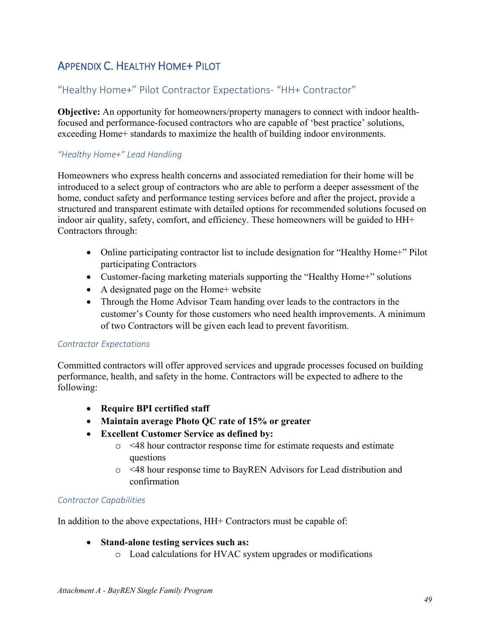## <span id="page-48-0"></span>APPENDIX C. HEALTHY HOME+ PILOT

### <span id="page-48-1"></span>"Healthy Home+" Pilot Contractor Expectations- "HH+ Contractor"

**Objective:** An opportunity for homeowners/property managers to connect with indoor healthfocused and performance-focused contractors who are capable of 'best practice' solutions, exceeding Home+ standards to maximize the health of building indoor environments.

#### *"Healthy Home+" Lead Handling*

Homeowners who express health concerns and associated remediation for their home will be introduced to a select group of contractors who are able to perform a deeper assessment of the home, conduct safety and performance testing services before and after the project, provide a structured and transparent estimate with detailed options for recommended solutions focused on indoor air quality, safety, comfort, and efficiency. These homeowners will be guided to HH+ Contractors through:

- Online participating contractor list to include designation for "Healthy Home+" Pilot participating Contractors
- Customer-facing marketing materials supporting the "Healthy Home+" solutions
- A designated page on the Home+ website
- Through the Home Advisor Team handing over leads to the contractors in the customer's County for those customers who need health improvements. A minimum of two Contractors will be given each lead to prevent favoritism.

#### *Contractor Expectations*

Committed contractors will offer approved services and upgrade processes focused on building performance, health, and safety in the home. Contractors will be expected to adhere to the following:

- **Require BPI certified staff**
- **Maintain average Photo QC rate of 15% or greater**
- **Excellent Customer Service as defined by:**
	- o <48 hour contractor response time for estimate requests and estimate questions
	- o <48 hour response time to BayREN Advisors for Lead distribution and confirmation

#### *Contractor Capabilities*

In addition to the above expectations, HH+ Contractors must be capable of:

#### • **Stand-alone testing services such as:**

o Load calculations for HVAC system upgrades or modifications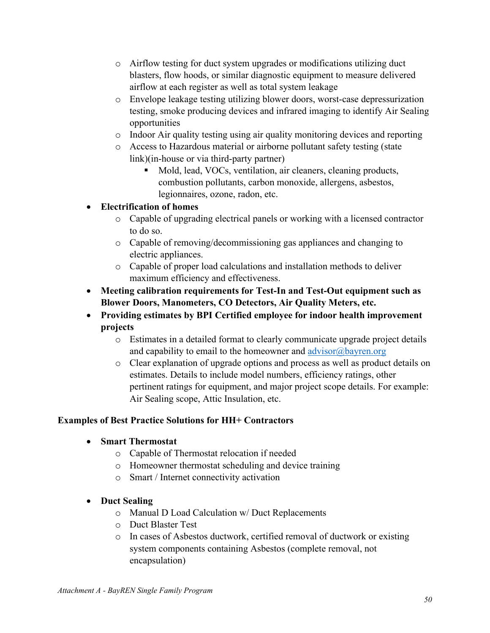- o Airflow testing for duct system upgrades or modifications utilizing duct blasters, flow hoods, or similar diagnostic equipment to measure delivered airflow at each register as well as total system leakage
- o Envelope leakage testing utilizing blower doors, worst-case depressurization testing, smoke producing devices and infrared imaging to identify Air Sealing opportunities
- o Indoor Air quality testing using air quality monitoring devices and reporting
- o Access to Hazardous material or airborne pollutant safety testing (state link)(in-house or via third-party partner)
	- Mold, lead, VOCs, ventilation, air cleaners, cleaning products, combustion pollutants, carbon monoxide, allergens, asbestos, legionnaires, ozone, radon, etc.

### • **Electrification of homes**

- o Capable of upgrading electrical panels or working with a licensed contractor to do so.
- o Capable of removing/decommissioning gas appliances and changing to electric appliances.
- o Capable of proper load calculations and installation methods to deliver maximum efficiency and effectiveness.
- **Meeting calibration requirements for Test-In and Test-Out equipment such as Blower Doors, Manometers, CO Detectors, Air Quality Meters, etc.**
- **Providing estimates by BPI Certified employee for indoor health improvement projects**
	- o Estimates in a detailed format to clearly communicate upgrade project details and capability to email to the homeowner and  $\frac{advisor(\omega)$  bayren.org
	- o Clear explanation of upgrade options and process as well as product details on estimates. Details to include model numbers, efficiency ratings, other pertinent ratings for equipment, and major project scope details. For example: Air Sealing scope, Attic Insulation, etc.

### **Examples of Best Practice Solutions for HH+ Contractors**

### • **Smart Thermostat**

- o Capable of Thermostat relocation if needed
- o Homeowner thermostat scheduling and device training
- o Smart / Internet connectivity activation

### • **Duct Sealing**

- o Manual D Load Calculation w/ Duct Replacements
- o Duct Blaster Test
- o In cases of Asbestos ductwork, certified removal of ductwork or existing system components containing Asbestos (complete removal, not encapsulation)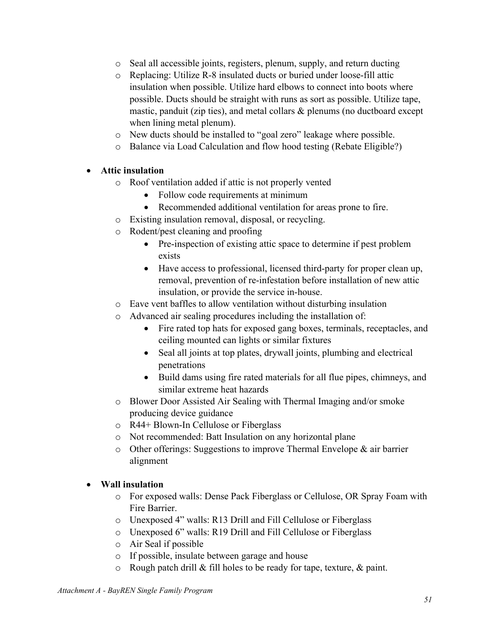- o Seal all accessible joints, registers, plenum, supply, and return ducting
- o Replacing: Utilize R-8 insulated ducts or buried under loose-fill attic insulation when possible. Utilize hard elbows to connect into boots where possible. Ducts should be straight with runs as sort as possible. Utilize tape, mastic, panduit (zip ties), and metal collars & plenums (no ductboard except when lining metal plenum).
- o New ducts should be installed to "goal zero" leakage where possible.
- o Balance via Load Calculation and flow hood testing (Rebate Eligible?)

### • **Attic insulation**

- o Roof ventilation added if attic is not properly vented
	- Follow code requirements at minimum
	- Recommended additional ventilation for areas prone to fire.
- o Existing insulation removal, disposal, or recycling.
- o Rodent/pest cleaning and proofing
	- Pre-inspection of existing attic space to determine if pest problem exists
	- Have access to professional, licensed third-party for proper clean up, removal, prevention of re-infestation before installation of new attic insulation, or provide the service in-house.
- o Eave vent baffles to allow ventilation without disturbing insulation
- o Advanced air sealing procedures including the installation of:
	- Fire rated top hats for exposed gang boxes, terminals, receptacles, and ceiling mounted can lights or similar fixtures
	- Seal all joints at top plates, drywall joints, plumbing and electrical penetrations
	- Build dams using fire rated materials for all flue pipes, chimneys, and similar extreme heat hazards
- o Blower Door Assisted Air Sealing with Thermal Imaging and/or smoke producing device guidance
- o R44+ Blown-In Cellulose or Fiberglass
- o Not recommended: Batt Insulation on any horizontal plane
- o Other offerings: Suggestions to improve Thermal Envelope & air barrier alignment

### • **Wall insulation**

- o For exposed walls: Dense Pack Fiberglass or Cellulose, OR Spray Foam with Fire Barrier.
- o Unexposed 4" walls: R13 Drill and Fill Cellulose or Fiberglass
- o Unexposed 6" walls: R19 Drill and Fill Cellulose or Fiberglass
- o Air Seal if possible
- o If possible, insulate between garage and house
- $\circ$  Rough patch drill & fill holes to be ready for tape, texture, & paint.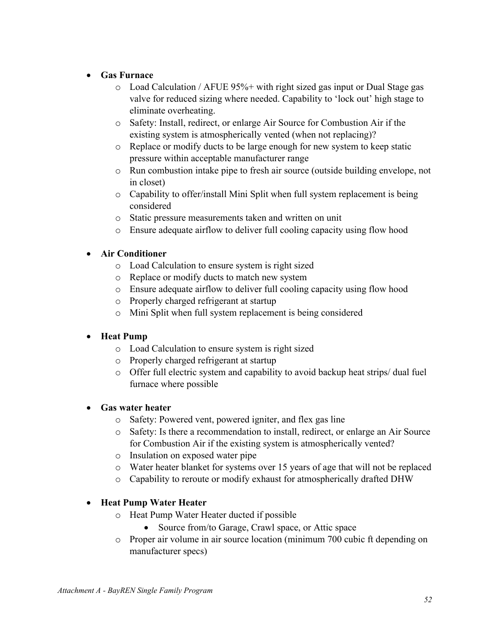### • **Gas Furnace**

- o Load Calculation / AFUE 95%+ with right sized gas input or Dual Stage gas valve for reduced sizing where needed. Capability to 'lock out' high stage to eliminate overheating.
- o Safety: Install, redirect, or enlarge Air Source for Combustion Air if the existing system is atmospherically vented (when not replacing)?
- o Replace or modify ducts to be large enough for new system to keep static pressure within acceptable manufacturer range
- o Run combustion intake pipe to fresh air source (outside building envelope, not in closet)
- o Capability to offer/install Mini Split when full system replacement is being considered
- o Static pressure measurements taken and written on unit
- o Ensure adequate airflow to deliver full cooling capacity using flow hood

### • **Air Conditioner**

- o Load Calculation to ensure system is right sized
- o Replace or modify ducts to match new system
- o Ensure adequate airflow to deliver full cooling capacity using flow hood
- o Properly charged refrigerant at startup
- o Mini Split when full system replacement is being considered

### • **Heat Pump**

- o Load Calculation to ensure system is right sized
- o Properly charged refrigerant at startup
- o Offer full electric system and capability to avoid backup heat strips/ dual fuel furnace where possible

### • **Gas water heater**

- o Safety: Powered vent, powered igniter, and flex gas line
- o Safety: Is there a recommendation to install, redirect, or enlarge an Air Source for Combustion Air if the existing system is atmospherically vented?
- o Insulation on exposed water pipe
- o Water heater blanket for systems over 15 years of age that will not be replaced
- o Capability to reroute or modify exhaust for atmospherically drafted DHW

### • **Heat Pump Water Heater**

- o Heat Pump Water Heater ducted if possible
	- Source from/to Garage, Crawl space, or Attic space
- o Proper air volume in air source location (minimum 700 cubic ft depending on manufacturer specs)